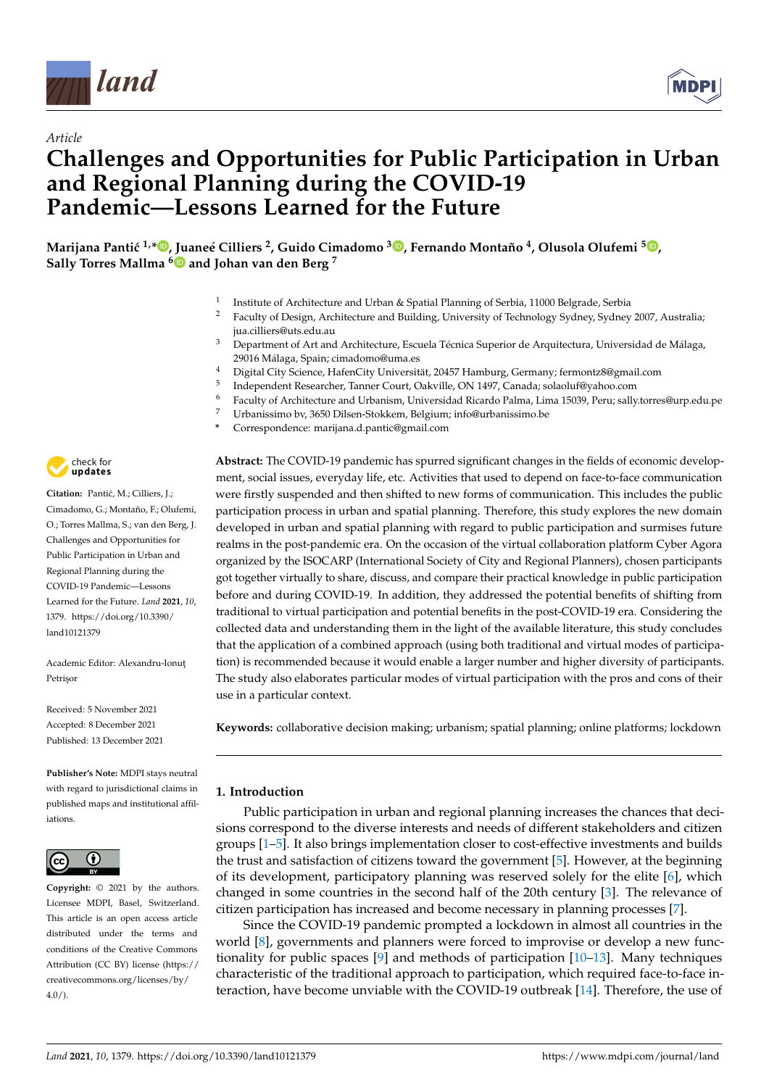

*Article*



# **Challenges and Opportunities for Public Participation in Urban and Regional Planning during the COVID-19 Pandemic—Lessons Learned for the Future**

**Marijana Panti´c 1,\* [,](https://orcid.org/0000-0001-8328-4077) Juaneé Cilliers <sup>2</sup> , Guido Cimadomo <sup>3</sup> [,](https://orcid.org/0000-0002-2926-3678) Fernando Montaño <sup>4</sup> , Olusola Olufemi <sup>5</sup> [,](https://orcid.org/0000-0002-7832-7092) Sally Torres Mallma [6](https://orcid.org/0000-0002-2779-7975) and Johan van den Berg <sup>7</sup>**

- 1 Institute of Architecture and Urban & Spatial Planning of Serbia, 11000 Belgrade, Serbia
- <sup>2</sup> Faculty of Design, Architecture and Building, University of Technology Sydney, Sydney 2007, Australia; jua.cilliers@uts.edu.au
- <sup>3</sup> Department of Art and Architecture, Escuela Técnica Superior de Arquitectura, Universidad de Málaga, 29016 Málaga, Spain; cimadomo@uma.es
- <sup>4</sup> Digital City Science, HafenCity Universität, 20457 Hamburg, Germany; fermontz8@gmail.com
- 5 Independent Researcher, Tanner Court, Oakville, ON 1497, Canada; solaoluf@yahoo.com
- <sup>6</sup> Faculty of Architecture and Urbanism, Universidad Ricardo Palma, Lima 15039, Peru; sally.torres@urp.edu.pe
	- <sup>7</sup> Urbanissimo bv, 3650 Dilsen-Stokkem, Belgium; info@urbanissimo.be
- **\*** Correspondence: marijana.d.pantic@gmail.com



Citation: Pantić, M.; Cilliers, J.; Cimadomo, G.; Montaño, F.; Olufemi, O.; Torres Mallma, S.; van den Berg, J. Challenges and Opportunities for Public Participation in Urban and Regional Planning during the COVID-19 Pandemic—Lessons Learned for the Future. *Land* **2021**, *10*, 1379. [https://doi.org/10.3390/](https://doi.org/10.3390/land10121379) [land10121379](https://doi.org/10.3390/land10121379)

Academic Editor: Alexandru-Ionut Petrisor

Received: 5 November 2021 Accepted: 8 December 2021 Published: 13 December 2021

**Publisher's Note:** MDPI stays neutral with regard to jurisdictional claims in published maps and institutional affiliations.



**Copyright:** © 2021 by the authors. Licensee MDPI, Basel, Switzerland. This article is an open access article distributed under the terms and conditions of the Creative Commons Attribution (CC BY) license (https:/[/](https://creativecommons.org/licenses/by/4.0/) [creativecommons.org/licenses/by/](https://creativecommons.org/licenses/by/4.0/)  $4.0/$ ).

**Abstract:** The COVID-19 pandemic has spurred significant changes in the fields of economic development, social issues, everyday life, etc. Activities that used to depend on face-to-face communication were firstly suspended and then shifted to new forms of communication. This includes the public participation process in urban and spatial planning. Therefore, this study explores the new domain developed in urban and spatial planning with regard to public participation and surmises future realms in the post-pandemic era. On the occasion of the virtual collaboration platform Cyber Agora organized by the ISOCARP (International Society of City and Regional Planners), chosen participants got together virtually to share, discuss, and compare their practical knowledge in public participation before and during COVID-19. In addition, they addressed the potential benefits of shifting from traditional to virtual participation and potential benefits in the post-COVID-19 era. Considering the collected data and understanding them in the light of the available literature, this study concludes that the application of a combined approach (using both traditional and virtual modes of participation) is recommended because it would enable a larger number and higher diversity of participants. The study also elaborates particular modes of virtual participation with the pros and cons of their use in a particular context.

**Keywords:** collaborative decision making; urbanism; spatial planning; online platforms; lockdown

# **1. Introduction**

Public participation in urban and regional planning increases the chances that decisions correspond to the diverse interests and needs of different stakeholders and citizen groups [\[1–](#page-14-0)[5\]](#page-14-1). It also brings implementation closer to cost-effective investments and builds the trust and satisfaction of citizens toward the government [\[5\]](#page-14-1). However, at the beginning of its development, participatory planning was reserved solely for the elite [\[6\]](#page-14-2), which changed in some countries in the second half of the 20th century [\[3\]](#page-14-3). The relevance of citizen participation has increased and become necessary in planning processes [\[7\]](#page-14-4).

Since the COVID-19 pandemic prompted a lockdown in almost all countries in the world [\[8\]](#page-14-5), governments and planners were forced to improvise or develop a new functionality for public spaces [\[9\]](#page-14-6) and methods of participation [\[10](#page-14-7)[–13\]](#page-14-8). Many techniques characteristic of the traditional approach to participation, which required face-to-face interaction, have become unviable with the COVID-19 outbreak [\[14\]](#page-14-9). Therefore, the use of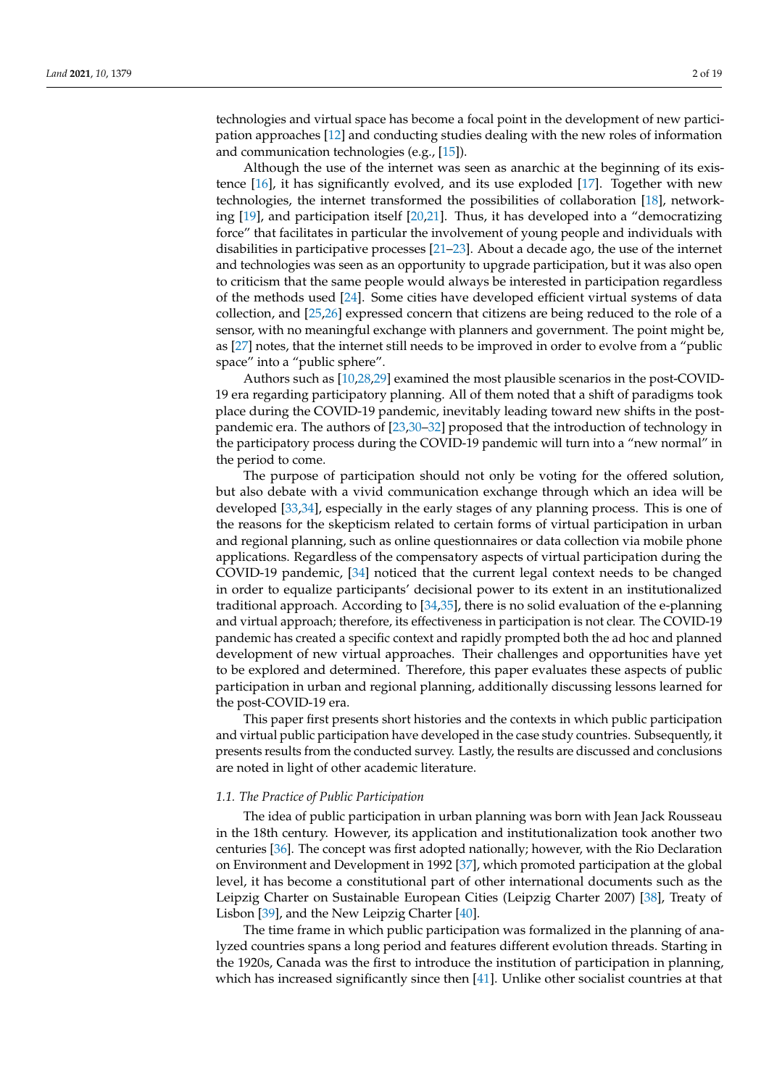technologies and virtual space has become a focal point in the development of new participation approaches [\[12\]](#page-14-10) and conducting studies dealing with the new roles of information and communication technologies (e.g., [\[15\]](#page-14-11)).

Although the use of the internet was seen as anarchic at the beginning of its existence [\[16\]](#page-14-12), it has significantly evolved, and its use exploded [\[17\]](#page-15-0). Together with new technologies, the internet transformed the possibilities of collaboration [\[18\]](#page-15-1), networking [\[19\]](#page-15-2), and participation itself [\[20,](#page-15-3)[21\]](#page-15-4). Thus, it has developed into a "democratizing force" that facilitates in particular the involvement of young people and individuals with disabilities in participative processes [\[21–](#page-15-4)[23\]](#page-15-5). About a decade ago, the use of the internet and technologies was seen as an opportunity to upgrade participation, but it was also open to criticism that the same people would always be interested in participation regardless of the methods used [\[24\]](#page-15-6). Some cities have developed efficient virtual systems of data collection, and [\[25,](#page-15-7)[26\]](#page-15-8) expressed concern that citizens are being reduced to the role of a sensor, with no meaningful exchange with planners and government. The point might be, as [\[27\]](#page-15-9) notes, that the internet still needs to be improved in order to evolve from a "public space" into a "public sphere".

Authors such as [\[10,](#page-14-7)[28](#page-15-10)[,29\]](#page-15-11) examined the most plausible scenarios in the post-COVID-19 era regarding participatory planning. All of them noted that a shift of paradigms took place during the COVID-19 pandemic, inevitably leading toward new shifts in the postpandemic era. The authors of [\[23,](#page-15-5)[30–](#page-15-12)[32\]](#page-15-13) proposed that the introduction of technology in the participatory process during the COVID-19 pandemic will turn into a "new normal" in the period to come.

The purpose of participation should not only be voting for the offered solution, but also debate with a vivid communication exchange through which an idea will be developed [\[33](#page-15-14)[,34\]](#page-15-15), especially in the early stages of any planning process. This is one of the reasons for the skepticism related to certain forms of virtual participation in urban and regional planning, such as online questionnaires or data collection via mobile phone applications. Regardless of the compensatory aspects of virtual participation during the COVID-19 pandemic, [\[34\]](#page-15-15) noticed that the current legal context needs to be changed in order to equalize participants' decisional power to its extent in an institutionalized traditional approach. According to [\[34,](#page-15-15)[35\]](#page-15-16), there is no solid evaluation of the e-planning and virtual approach; therefore, its effectiveness in participation is not clear. The COVID-19 pandemic has created a specific context and rapidly prompted both the ad hoc and planned development of new virtual approaches. Their challenges and opportunities have yet to be explored and determined. Therefore, this paper evaluates these aspects of public participation in urban and regional planning, additionally discussing lessons learned for the post-COVID-19 era.

This paper first presents short histories and the contexts in which public participation and virtual public participation have developed in the case study countries. Subsequently, it presents results from the conducted survey. Lastly, the results are discussed and conclusions are noted in light of other academic literature.

# *1.1. The Practice of Public Participation*

The idea of public participation in urban planning was born with Jean Jack Rousseau in the 18th century. However, its application and institutionalization took another two centuries [\[36\]](#page-15-17). The concept was first adopted nationally; however, with the Rio Declaration on Environment and Development in 1992 [\[37\]](#page-15-18), which promoted participation at the global level, it has become a constitutional part of other international documents such as the Leipzig Charter on Sustainable European Cities (Leipzig Charter 2007) [\[38\]](#page-15-19), Treaty of Lisbon [\[39\]](#page-15-20), and the New Leipzig Charter [\[40\]](#page-15-21).

The time frame in which public participation was formalized in the planning of analyzed countries spans a long period and features different evolution threads. Starting in the 1920s, Canada was the first to introduce the institution of participation in planning, which has increased significantly since then [\[41\]](#page-15-22). Unlike other socialist countries at that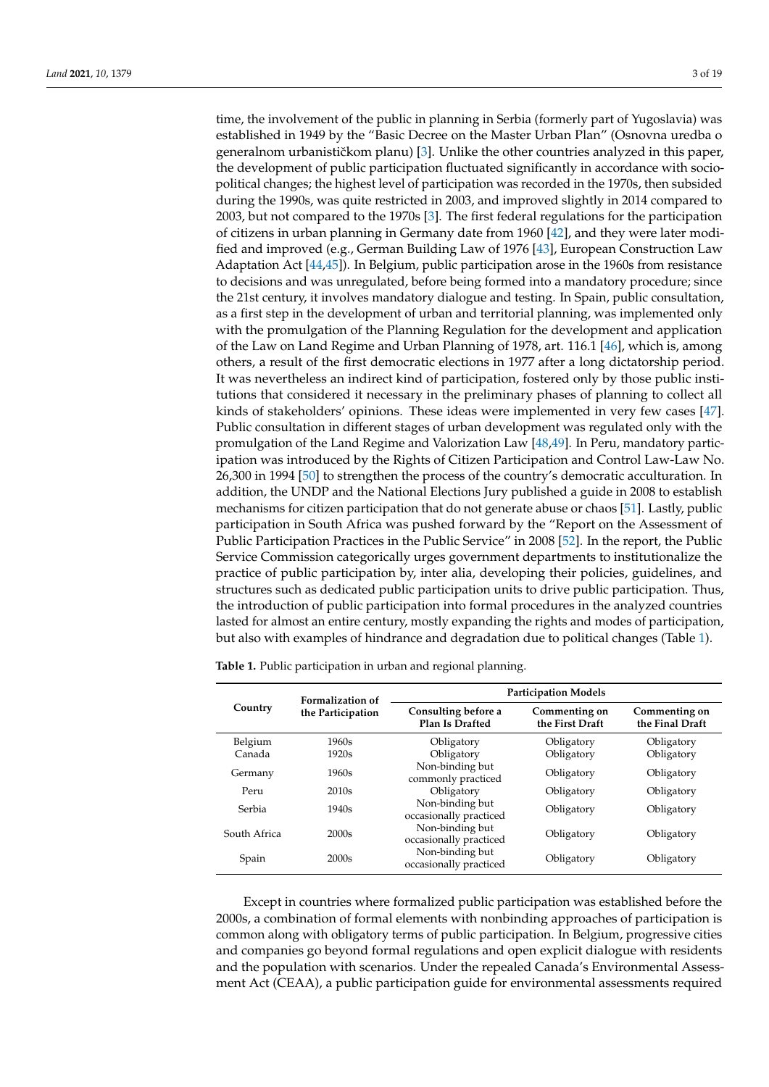time, the involvement of the public in planning in Serbia (formerly part of Yugoslavia) was established in 1949 by the "Basic Decree on the Master Urban Plan" (Osnovna uredba o generalnom urbanističkom planu)  $[3]$ . Unlike the other countries analyzed in this paper, the development of public participation fluctuated significantly in accordance with sociopolitical changes; the highest level of participation was recorded in the 1970s, then subsided during the 1990s, was quite restricted in 2003, and improved slightly in 2014 compared to 2003, but not compared to the 1970s [\[3\]](#page-14-3). The first federal regulations for the participation of citizens in urban planning in Germany date from 1960 [\[42\]](#page-15-23), and they were later modified and improved (e.g., German Building Law of 1976 [\[43\]](#page-15-24), European Construction Law Adaptation Act [\[44,](#page-15-25)[45\]](#page-15-26)). In Belgium, public participation arose in the 1960s from resistance to decisions and was unregulated, before being formed into a mandatory procedure; since the 21st century, it involves mandatory dialogue and testing. In Spain, public consultation, as a first step in the development of urban and territorial planning, was implemented only with the promulgation of the Planning Regulation for the development and application of the Law on Land Regime and Urban Planning of 1978, art. 116.1 [\[46\]](#page-16-0), which is, among others, a result of the first democratic elections in 1977 after a long dictatorship period. It was nevertheless an indirect kind of participation, fostered only by those public institutions that considered it necessary in the preliminary phases of planning to collect all kinds of stakeholders' opinions. These ideas were implemented in very few cases [\[47\]](#page-16-1). Public consultation in different stages of urban development was regulated only with the promulgation of the Land Regime and Valorization Law [\[48,](#page-16-2)[49\]](#page-16-3). In Peru, mandatory participation was introduced by the Rights of Citizen Participation and Control Law-Law No. 26,300 in 1994 [\[50\]](#page-16-4) to strengthen the process of the country's democratic acculturation. In addition, the UNDP and the National Elections Jury published a guide in 2008 to establish mechanisms for citizen participation that do not generate abuse or chaos [\[51\]](#page-16-5). Lastly, public participation in South Africa was pushed forward by the "Report on the Assessment of Public Participation Practices in the Public Service" in 2008 [\[52\]](#page-16-6). In the report, the Public Service Commission categorically urges government departments to institutionalize the practice of public participation by, inter alia, developing their policies, guidelines, and structures such as dedicated public participation units to drive public participation. Thus, the introduction of public participation into formal procedures in the analyzed countries lasted for almost an entire century, mostly expanding the rights and modes of participation, but also with examples of hindrance and degradation due to political changes (Table [1\)](#page-2-0).

<span id="page-2-0"></span>**Table 1.** Public participation in urban and regional planning.

| Country      | <b>Formalization of</b><br>the Participation | <b>Participation Models</b>               |                                  |                                  |  |  |
|--------------|----------------------------------------------|-------------------------------------------|----------------------------------|----------------------------------|--|--|
|              |                                              | Consulting before a<br>Plan Is Drafted    | Commenting on<br>the First Draft | Commenting on<br>the Final Draft |  |  |
| Belgium      | 1960s                                        | Obligatory                                | Obligatory                       | Obligatory                       |  |  |
| Canada       | 1920s                                        | Obligatory                                | Obligatory                       | Obligatory                       |  |  |
| Germany      | 1960s                                        | Non-binding but<br>commonly practiced     | Obligatory                       | Obligatory                       |  |  |
| Peru         | 2010s                                        | Obligatory                                | Obligatory                       | Obligatory                       |  |  |
| Serbia       | 1940s                                        | Non-binding but<br>occasionally practiced | Obligatory                       | Obligatory                       |  |  |
| South Africa | 2000s                                        | Non-binding but<br>occasionally practiced | Obligatory                       | Obligatory                       |  |  |
| Spain        | 2000s                                        | Non-binding but<br>occasionally practiced | Obligatory                       | Obligatory                       |  |  |

Except in countries where formalized public participation was established before the 2000s, a combination of formal elements with nonbinding approaches of participation is common along with obligatory terms of public participation. In Belgium, progressive cities and companies go beyond formal regulations and open explicit dialogue with residents and the population with scenarios. Under the repealed Canada's Environmental Assessment Act (CEAA), a public participation guide for environmental assessments required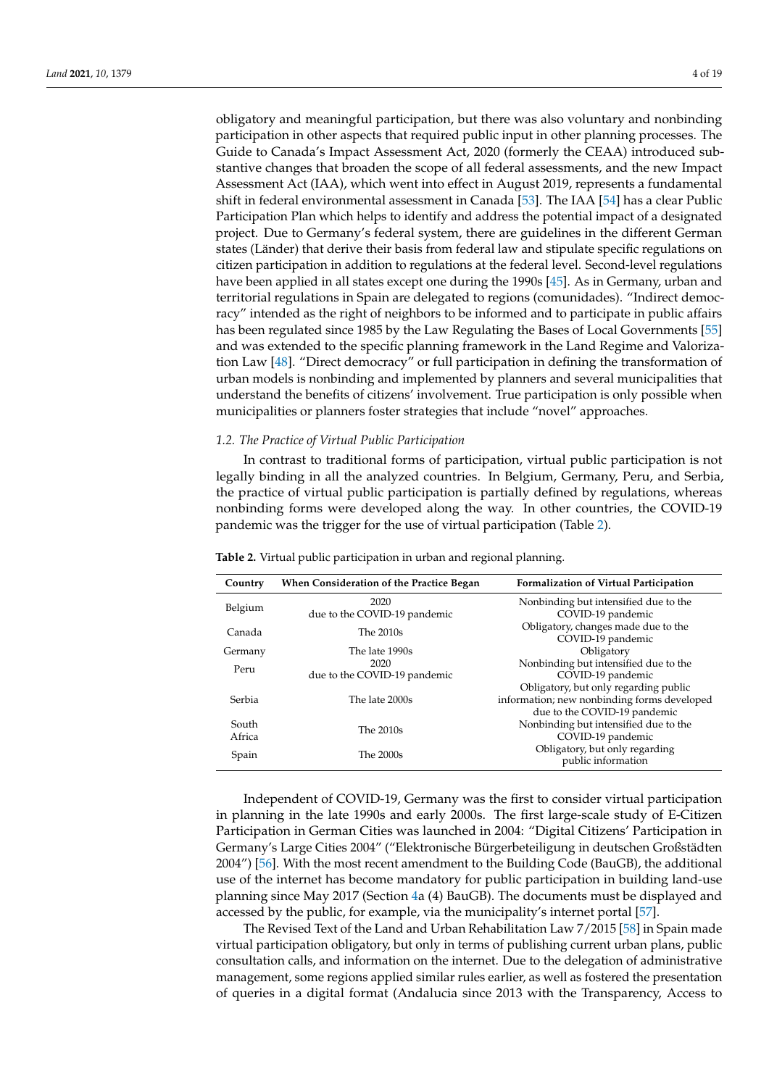obligatory and meaningful participation, but there was also voluntary and nonbinding participation in other aspects that required public input in other planning processes. The Guide to Canada's Impact Assessment Act, 2020 (formerly the CEAA) introduced substantive changes that broaden the scope of all federal assessments, and the new Impact Assessment Act (IAA), which went into effect in August 2019, represents a fundamental shift in federal environmental assessment in Canada [\[53\]](#page-16-7). The IAA [\[54\]](#page-16-8) has a clear Public Participation Plan which helps to identify and address the potential impact of a designated project. Due to Germany's federal system, there are guidelines in the different German states (Länder) that derive their basis from federal law and stipulate specific regulations on citizen participation in addition to regulations at the federal level. Second-level regulations have been applied in all states except one during the 1990s [\[45\]](#page-15-26). As in Germany, urban and territorial regulations in Spain are delegated to regions (comunidades). "Indirect democracy" intended as the right of neighbors to be informed and to participate in public affairs has been regulated since 1985 by the Law Regulating the Bases of Local Governments [\[55\]](#page-16-9) and was extended to the specific planning framework in the Land Regime and Valorization Law [\[48\]](#page-16-2). "Direct democracy" or full participation in defining the transformation of urban models is nonbinding and implemented by planners and several municipalities that understand the benefits of citizens' involvement. True participation is only possible when municipalities or planners foster strategies that include "novel" approaches.

#### *1.2. The Practice of Virtual Public Participation*

In contrast to traditional forms of participation, virtual public participation is not legally binding in all the analyzed countries. In Belgium, Germany, Peru, and Serbia, the practice of virtual public participation is partially defined by regulations, whereas nonbinding forms were developed along the way. In other countries, the COVID-19 pandemic was the trigger for the use of virtual participation (Table [2\)](#page-3-0).

| Country         | When Consideration of the Practice Began | <b>Formalization of Virtual Participation</b>                                              |  |  |  |
|-----------------|------------------------------------------|--------------------------------------------------------------------------------------------|--|--|--|
| Belgium         | 2020<br>due to the COVID-19 pandemic     | Nonbinding but intensified due to the<br>COVID-19 pandemic                                 |  |  |  |
| Canada          | The 2010s                                | Obligatory, changes made due to the<br>COVID-19 pandemic                                   |  |  |  |
| Germany         | The late 1990s                           | Obligatory                                                                                 |  |  |  |
| Peru            | 2020                                     | Nonbinding but intensified due to the                                                      |  |  |  |
|                 | due to the COVID-19 pandemic             | COVID-19 pandemic                                                                          |  |  |  |
| Serbia          | The late 2000s                           | Obligatory, but only regarding public<br>information; new nonbinding forms developed       |  |  |  |
| South<br>Africa | The 2010s                                | due to the COVID-19 pandemic<br>Nonbinding but intensified due to the<br>COVID-19 pandemic |  |  |  |
| Spain           | The 2000s                                | Obligatory, but only regarding<br>public information                                       |  |  |  |

<span id="page-3-0"></span>**Table 2.** Virtual public participation in urban and regional planning.

Independent of COVID-19, Germany was the first to consider virtual participation in planning in the late 1990s and early 2000s. The first large-scale study of E-Citizen Participation in German Cities was launched in 2004: "Digital Citizens' Participation in Germany's Large Cities 2004" ("Elektronische Bürgerbeteiligung in deutschen Großstädten 2004") [\[56\]](#page-16-10). With the most recent amendment to the Building Code (BauGB), the additional use of the internet has become mandatory for public participation in building land-use planning since May 2017 (Section [4a](#page-12-0) (4) BauGB). The documents must be displayed and accessed by the public, for example, via the municipality's internet portal [\[57\]](#page-16-11).

The Revised Text of the Land and Urban Rehabilitation Law 7/2015 [\[58\]](#page-16-12) in Spain made virtual participation obligatory, but only in terms of publishing current urban plans, public consultation calls, and information on the internet. Due to the delegation of administrative management, some regions applied similar rules earlier, as well as fostered the presentation of queries in a digital format (Andalucia since 2013 with the Transparency, Access to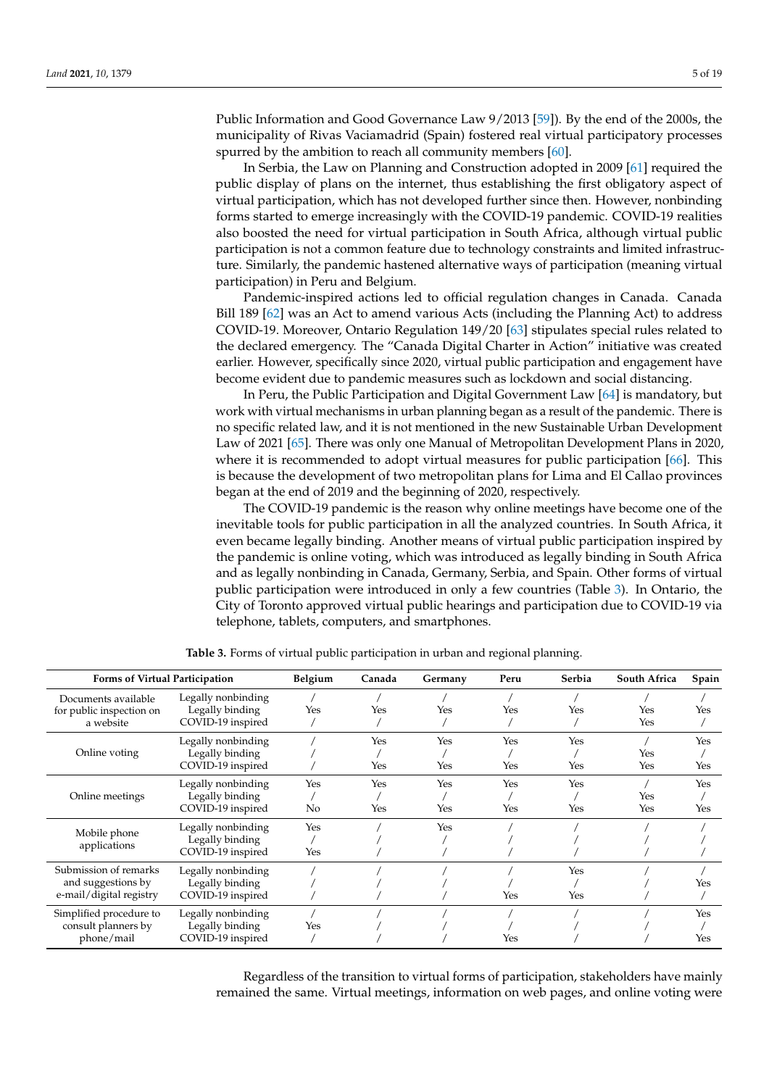Public Information and Good Governance Law 9/2013 [\[59\]](#page-16-13)). By the end of the 2000s, the municipality of Rivas Vaciamadrid (Spain) fostered real virtual participatory processes spurred by the ambition to reach all community members [\[60\]](#page-16-14).

In Serbia, the Law on Planning and Construction adopted in 2009 [\[61\]](#page-16-15) required the public display of plans on the internet, thus establishing the first obligatory aspect of virtual participation, which has not developed further since then. However, nonbinding forms started to emerge increasingly with the COVID-19 pandemic. COVID-19 realities also boosted the need for virtual participation in South Africa, although virtual public participation is not a common feature due to technology constraints and limited infrastructure. Similarly, the pandemic hastened alternative ways of participation (meaning virtual participation) in Peru and Belgium.

Pandemic-inspired actions led to official regulation changes in Canada. Canada Bill 189 [\[62\]](#page-16-16) was an Act to amend various Acts (including the Planning Act) to address COVID-19. Moreover, Ontario Regulation 149/20 [\[63\]](#page-16-17) stipulates special rules related to the declared emergency. The "Canada Digital Charter in Action" initiative was created earlier. However, specifically since 2020, virtual public participation and engagement have become evident due to pandemic measures such as lockdown and social distancing.

In Peru, the Public Participation and Digital Government Law [\[64\]](#page-16-18) is mandatory, but work with virtual mechanisms in urban planning began as a result of the pandemic. There is no specific related law, and it is not mentioned in the new Sustainable Urban Development Law of 2021 [\[65\]](#page-16-19). There was only one Manual of Metropolitan Development Plans in 2020, where it is recommended to adopt virtual measures for public participation [\[66\]](#page-16-20). This is because the development of two metropolitan plans for Lima and El Callao provinces began at the end of 2019 and the beginning of 2020, respectively.

The COVID-19 pandemic is the reason why online meetings have become one of the inevitable tools for public participation in all the analyzed countries. In South Africa, it even became legally binding. Another means of virtual public participation inspired by the pandemic is online voting, which was introduced as legally binding in South Africa and as legally nonbinding in Canada, Germany, Serbia, and Spain. Other forms of virtual public participation were introduced in only a few countries (Table [3\)](#page-4-0). In Ontario, the City of Toronto approved virtual public hearings and participation due to COVID-19 via telephone, tablets, computers, and smartphones.

<span id="page-4-0"></span>

| Forms of Virtual Participation                                         |                                       | Belgium | Canada | Germany    | Peru | Serbia | South Africa | Spain      |
|------------------------------------------------------------------------|---------------------------------------|---------|--------|------------|------|--------|--------------|------------|
| Documents available<br>for public inspection on                        | Legally nonbinding<br>Legally binding | Yes     | Yes    | Yes        | Yes  | Yes    | Yes          | Yes        |
| a website                                                              | COVID-19 inspired                     |         |        |            |      |        | Yes          |            |
| Online voting                                                          | Legally nonbinding                    |         | Yes    | Yes        | Yes  | Yes    |              | <b>Yes</b> |
|                                                                        | Legally binding                       |         |        |            |      |        | Yes          |            |
|                                                                        | COVID-19 inspired                     |         | Yes    | Yes        | Yes  | Yes    | Yes          | Yes        |
|                                                                        | Legally nonbinding                    | Yes     | Yes    | Yes        | Yes  | Yes    |              | Yes        |
| Online meetings                                                        | Legally binding                       |         |        |            |      |        | Yes          |            |
|                                                                        | COVID-19 inspired                     | No      | Yes    | Yes        | Yes  | Yes    | Yes          | Yes        |
| Mobile phone                                                           | Legally nonbinding                    | Yes     |        | <b>Yes</b> |      |        |              |            |
| applications                                                           | Legally binding                       |         |        |            |      |        |              |            |
|                                                                        | COVID-19 inspired                     | Yes     |        |            |      |        |              |            |
| Submission of remarks<br>and suggestions by<br>e-mail/digital registry | Legally nonbinding                    |         |        |            |      | Yes    |              |            |
|                                                                        | Legally binding                       |         |        |            |      |        |              | Yes        |
|                                                                        | COVID-19 inspired                     |         |        |            | Yes  | Yes    |              |            |
| Simplified procedure to                                                | Legally nonbinding                    |         |        |            |      |        |              | Yes        |
| consult planners by<br>phone/mail                                      | Legally binding                       | Yes     |        |            |      |        |              |            |
|                                                                        | COVID-19 inspired                     |         |        |            | Yes  |        |              | Yes        |

**Table 3.** Forms of virtual public participation in urban and regional planning.

Regardless of the transition to virtual forms of participation, stakeholders have mainly remained the same. Virtual meetings, information on web pages, and online voting were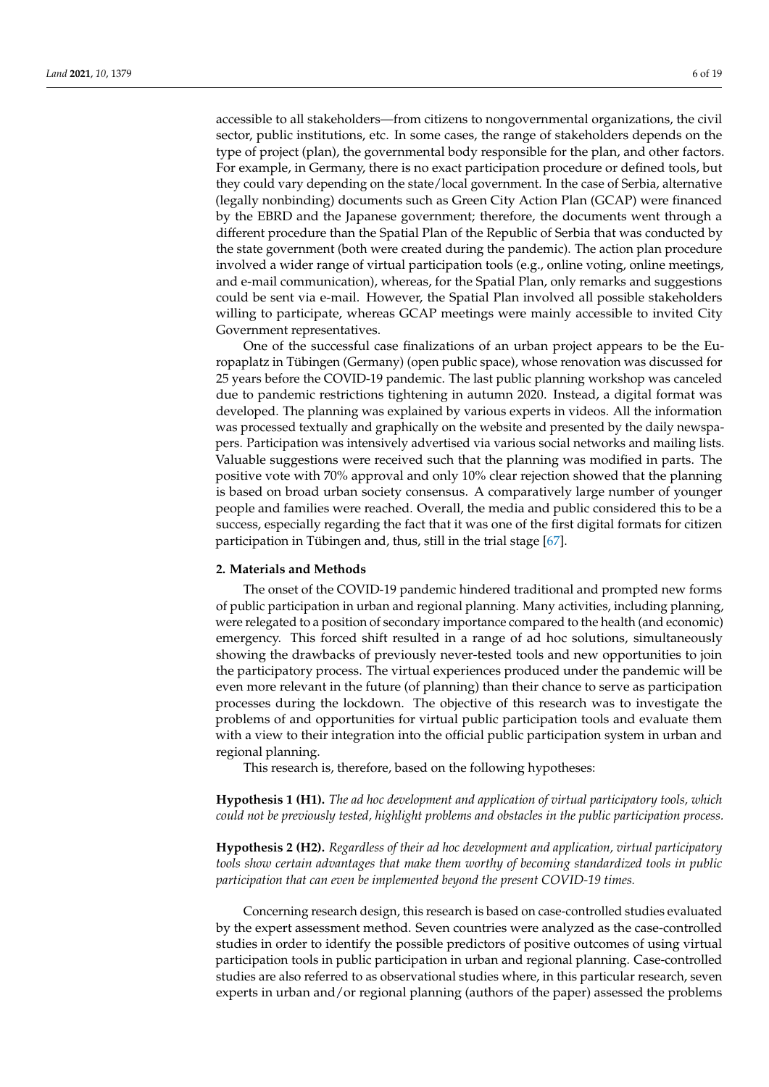accessible to all stakeholders—from citizens to nongovernmental organizations, the civil sector, public institutions, etc. In some cases, the range of stakeholders depends on the type of project (plan), the governmental body responsible for the plan, and other factors. For example, in Germany, there is no exact participation procedure or defined tools, but they could vary depending on the state/local government. In the case of Serbia, alternative (legally nonbinding) documents such as Green City Action Plan (GCAP) were financed by the EBRD and the Japanese government; therefore, the documents went through a different procedure than the Spatial Plan of the Republic of Serbia that was conducted by the state government (both were created during the pandemic). The action plan procedure involved a wider range of virtual participation tools (e.g., online voting, online meetings, and e-mail communication), whereas, for the Spatial Plan, only remarks and suggestions could be sent via e-mail. However, the Spatial Plan involved all possible stakeholders willing to participate, whereas GCAP meetings were mainly accessible to invited City Government representatives.

One of the successful case finalizations of an urban project appears to be the Europaplatz in Tübingen (Germany) (open public space), whose renovation was discussed for 25 years before the COVID-19 pandemic. The last public planning workshop was canceled due to pandemic restrictions tightening in autumn 2020. Instead, a digital format was developed. The planning was explained by various experts in videos. All the information was processed textually and graphically on the website and presented by the daily newspapers. Participation was intensively advertised via various social networks and mailing lists. Valuable suggestions were received such that the planning was modified in parts. The positive vote with 70% approval and only 10% clear rejection showed that the planning is based on broad urban society consensus. A comparatively large number of younger people and families were reached. Overall, the media and public considered this to be a success, especially regarding the fact that it was one of the first digital formats for citizen participation in Tübingen and, thus, still in the trial stage [\[67\]](#page-16-21).

# **2. Materials and Methods**

The onset of the COVID-19 pandemic hindered traditional and prompted new forms of public participation in urban and regional planning. Many activities, including planning, were relegated to a position of secondary importance compared to the health (and economic) emergency. This forced shift resulted in a range of ad hoc solutions, simultaneously showing the drawbacks of previously never-tested tools and new opportunities to join the participatory process. The virtual experiences produced under the pandemic will be even more relevant in the future (of planning) than their chance to serve as participation processes during the lockdown. The objective of this research was to investigate the problems of and opportunities for virtual public participation tools and evaluate them with a view to their integration into the official public participation system in urban and regional planning.

This research is, therefore, based on the following hypotheses:

**Hypothesis 1 (H1).** *The ad hoc development and application of virtual participatory tools, which could not be previously tested, highlight problems and obstacles in the public participation process.*

**Hypothesis 2 (H2).** *Regardless of their ad hoc development and application, virtual participatory tools show certain advantages that make them worthy of becoming standardized tools in public participation that can even be implemented beyond the present COVID-19 times.*

Concerning research design, this research is based on case-controlled studies evaluated by the expert assessment method. Seven countries were analyzed as the case-controlled studies in order to identify the possible predictors of positive outcomes of using virtual participation tools in public participation in urban and regional planning. Case-controlled studies are also referred to as observational studies where, in this particular research, seven experts in urban and/or regional planning (authors of the paper) assessed the problems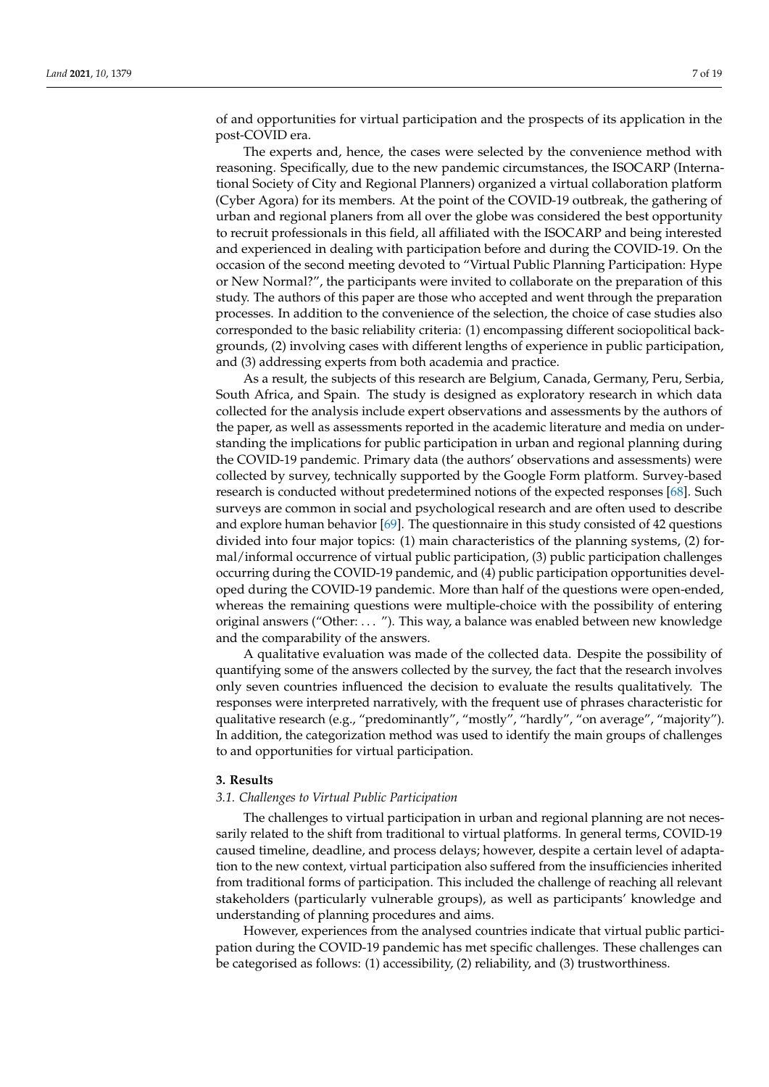of and opportunities for virtual participation and the prospects of its application in the post-COVID era.

The experts and, hence, the cases were selected by the convenience method with reasoning. Specifically, due to the new pandemic circumstances, the ISOCARP (International Society of City and Regional Planners) organized a virtual collaboration platform (Cyber Agora) for its members. At the point of the COVID-19 outbreak, the gathering of urban and regional planers from all over the globe was considered the best opportunity to recruit professionals in this field, all affiliated with the ISOCARP and being interested and experienced in dealing with participation before and during the COVID-19. On the occasion of the second meeting devoted to "Virtual Public Planning Participation: Hype or New Normal?", the participants were invited to collaborate on the preparation of this study. The authors of this paper are those who accepted and went through the preparation processes. In addition to the convenience of the selection, the choice of case studies also corresponded to the basic reliability criteria: (1) encompassing different sociopolitical backgrounds, (2) involving cases with different lengths of experience in public participation, and (3) addressing experts from both academia and practice.

As a result, the subjects of this research are Belgium, Canada, Germany, Peru, Serbia, South Africa, and Spain. The study is designed as exploratory research in which data collected for the analysis include expert observations and assessments by the authors of the paper, as well as assessments reported in the academic literature and media on understanding the implications for public participation in urban and regional planning during the COVID-19 pandemic. Primary data (the authors' observations and assessments) were collected by survey, technically supported by the Google Form platform. Survey-based research is conducted without predetermined notions of the expected responses [\[68\]](#page-16-22). Such surveys are common in social and psychological research and are often used to describe and explore human behavior [\[69\]](#page-16-23). The questionnaire in this study consisted of 42 questions divided into four major topics: (1) main characteristics of the planning systems, (2) formal/informal occurrence of virtual public participation, (3) public participation challenges occurring during the COVID-19 pandemic, and (4) public participation opportunities developed during the COVID-19 pandemic. More than half of the questions were open-ended, whereas the remaining questions were multiple-choice with the possibility of entering original answers ("Other: . . . "). This way, a balance was enabled between new knowledge and the comparability of the answers.

A qualitative evaluation was made of the collected data. Despite the possibility of quantifying some of the answers collected by the survey, the fact that the research involves only seven countries influenced the decision to evaluate the results qualitatively. The responses were interpreted narratively, with the frequent use of phrases characteristic for qualitative research (e.g., "predominantly", "mostly", "hardly", "on average", "majority"). In addition, the categorization method was used to identify the main groups of challenges to and opportunities for virtual participation.

#### **3. Results**

# *3.1. Challenges to Virtual Public Participation*

The challenges to virtual participation in urban and regional planning are not necessarily related to the shift from traditional to virtual platforms. In general terms, COVID-19 caused timeline, deadline, and process delays; however, despite a certain level of adaptation to the new context, virtual participation also suffered from the insufficiencies inherited from traditional forms of participation. This included the challenge of reaching all relevant stakeholders (particularly vulnerable groups), as well as participants' knowledge and understanding of planning procedures and aims.

However, experiences from the analysed countries indicate that virtual public participation during the COVID-19 pandemic has met specific challenges. These challenges can be categorised as follows: (1) accessibility, (2) reliability, and (3) trustworthiness.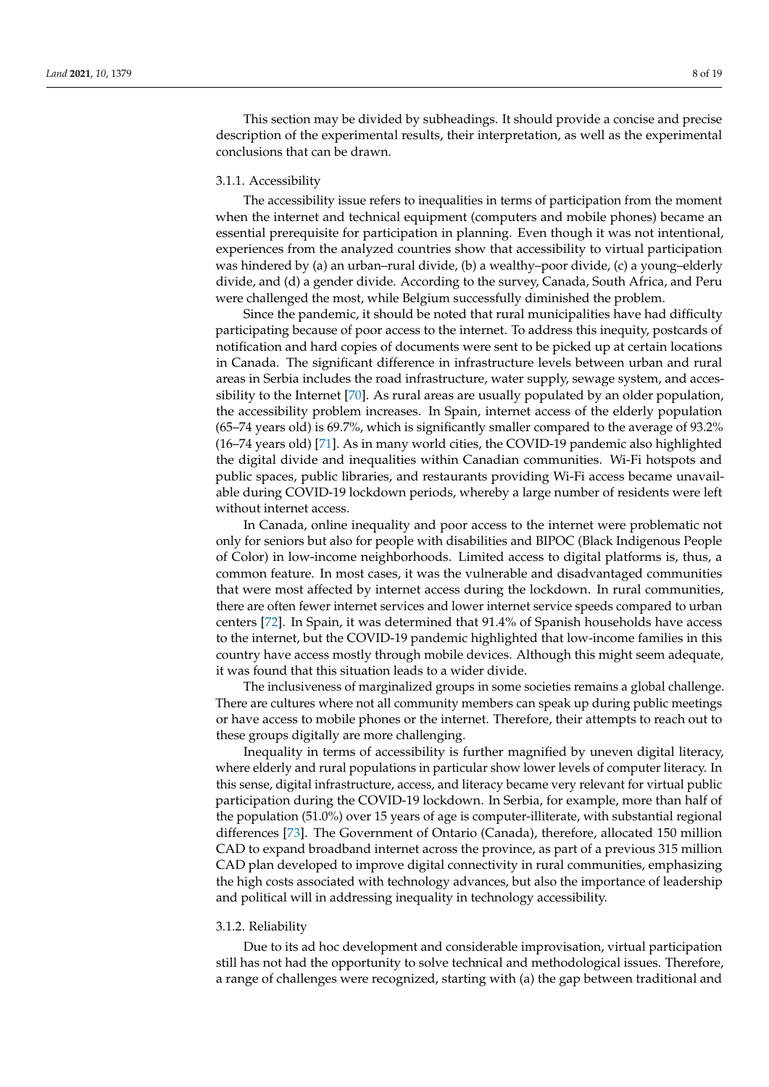This section may be divided by subheadings. It should provide a concise and precise description of the experimental results, their interpretation, as well as the experimental conclusions that can be drawn.

# 3.1.1. Accessibility

The accessibility issue refers to inequalities in terms of participation from the moment when the internet and technical equipment (computers and mobile phones) became an essential prerequisite for participation in planning. Even though it was not intentional, experiences from the analyzed countries show that accessibility to virtual participation was hindered by (a) an urban–rural divide, (b) a wealthy–poor divide, (c) a young–elderly divide, and (d) a gender divide. According to the survey, Canada, South Africa, and Peru were challenged the most, while Belgium successfully diminished the problem.

Since the pandemic, it should be noted that rural municipalities have had difficulty participating because of poor access to the internet. To address this inequity, postcards of notification and hard copies of documents were sent to be picked up at certain locations in Canada. The significant difference in infrastructure levels between urban and rural areas in Serbia includes the road infrastructure, water supply, sewage system, and accessibility to the Internet [\[70\]](#page-16-24). As rural areas are usually populated by an older population, the accessibility problem increases. In Spain, internet access of the elderly population (65–74 years old) is 69.7%, which is significantly smaller compared to the average of 93.2% (16–74 years old) [\[71\]](#page-17-0). As in many world cities, the COVID-19 pandemic also highlighted the digital divide and inequalities within Canadian communities. Wi-Fi hotspots and public spaces, public libraries, and restaurants providing Wi-Fi access became unavailable during COVID-19 lockdown periods, whereby a large number of residents were left without internet access.

In Canada, online inequality and poor access to the internet were problematic not only for seniors but also for people with disabilities and BIPOC (Black Indigenous People of Color) in low-income neighborhoods. Limited access to digital platforms is, thus, a common feature. In most cases, it was the vulnerable and disadvantaged communities that were most affected by internet access during the lockdown. In rural communities, there are often fewer internet services and lower internet service speeds compared to urban centers [\[72\]](#page-17-1). In Spain, it was determined that 91.4% of Spanish households have access to the internet, but the COVID-19 pandemic highlighted that low-income families in this country have access mostly through mobile devices. Although this might seem adequate, it was found that this situation leads to a wider divide.

The inclusiveness of marginalized groups in some societies remains a global challenge. There are cultures where not all community members can speak up during public meetings or have access to mobile phones or the internet. Therefore, their attempts to reach out to these groups digitally are more challenging.

Inequality in terms of accessibility is further magnified by uneven digital literacy, where elderly and rural populations in particular show lower levels of computer literacy. In this sense, digital infrastructure, access, and literacy became very relevant for virtual public participation during the COVID-19 lockdown. In Serbia, for example, more than half of the population (51.0%) over 15 years of age is computer-illiterate, with substantial regional differences [\[73\]](#page-17-2). The Government of Ontario (Canada), therefore, allocated 150 million CAD to expand broadband internet across the province, as part of a previous 315 million CAD plan developed to improve digital connectivity in rural communities, emphasizing the high costs associated with technology advances, but also the importance of leadership and political will in addressing inequality in technology accessibility.

# 3.1.2. Reliability

Due to its ad hoc development and considerable improvisation, virtual participation still has not had the opportunity to solve technical and methodological issues. Therefore, a range of challenges were recognized, starting with (a) the gap between traditional and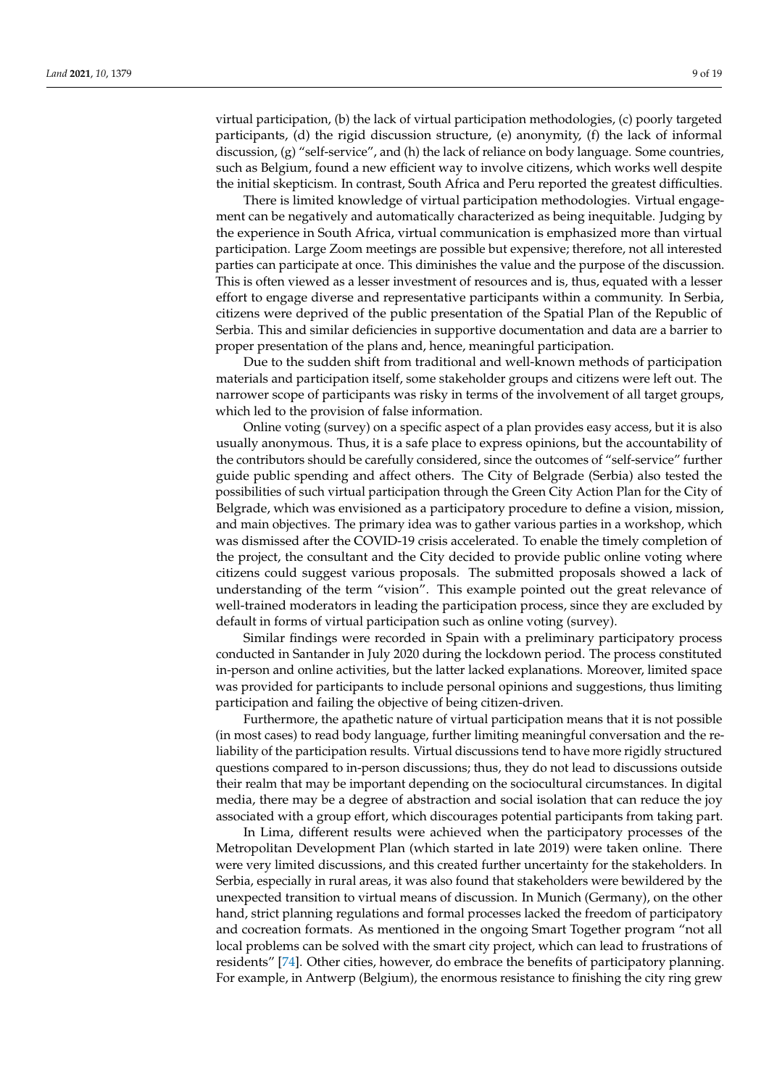virtual participation, (b) the lack of virtual participation methodologies, (c) poorly targeted participants, (d) the rigid discussion structure, (e) anonymity, (f) the lack of informal discussion, (g) "self-service", and (h) the lack of reliance on body language. Some countries, such as Belgium, found a new efficient way to involve citizens, which works well despite the initial skepticism. In contrast, South Africa and Peru reported the greatest difficulties.

There is limited knowledge of virtual participation methodologies. Virtual engagement can be negatively and automatically characterized as being inequitable. Judging by the experience in South Africa, virtual communication is emphasized more than virtual participation. Large Zoom meetings are possible but expensive; therefore, not all interested parties can participate at once. This diminishes the value and the purpose of the discussion. This is often viewed as a lesser investment of resources and is, thus, equated with a lesser effort to engage diverse and representative participants within a community. In Serbia, citizens were deprived of the public presentation of the Spatial Plan of the Republic of Serbia. This and similar deficiencies in supportive documentation and data are a barrier to proper presentation of the plans and, hence, meaningful participation.

Due to the sudden shift from traditional and well-known methods of participation materials and participation itself, some stakeholder groups and citizens were left out. The narrower scope of participants was risky in terms of the involvement of all target groups, which led to the provision of false information.

Online voting (survey) on a specific aspect of a plan provides easy access, but it is also usually anonymous. Thus, it is a safe place to express opinions, but the accountability of the contributors should be carefully considered, since the outcomes of "self-service" further guide public spending and affect others. The City of Belgrade (Serbia) also tested the possibilities of such virtual participation through the Green City Action Plan for the City of Belgrade, which was envisioned as a participatory procedure to define a vision, mission, and main objectives. The primary idea was to gather various parties in a workshop, which was dismissed after the COVID-19 crisis accelerated. To enable the timely completion of the project, the consultant and the City decided to provide public online voting where citizens could suggest various proposals. The submitted proposals showed a lack of understanding of the term "vision". This example pointed out the great relevance of well-trained moderators in leading the participation process, since they are excluded by default in forms of virtual participation such as online voting (survey).

Similar findings were recorded in Spain with a preliminary participatory process conducted in Santander in July 2020 during the lockdown period. The process constituted in-person and online activities, but the latter lacked explanations. Moreover, limited space was provided for participants to include personal opinions and suggestions, thus limiting participation and failing the objective of being citizen-driven.

Furthermore, the apathetic nature of virtual participation means that it is not possible (in most cases) to read body language, further limiting meaningful conversation and the reliability of the participation results. Virtual discussions tend to have more rigidly structured questions compared to in-person discussions; thus, they do not lead to discussions outside their realm that may be important depending on the sociocultural circumstances. In digital media, there may be a degree of abstraction and social isolation that can reduce the joy associated with a group effort, which discourages potential participants from taking part.

In Lima, different results were achieved when the participatory processes of the Metropolitan Development Plan (which started in late 2019) were taken online. There were very limited discussions, and this created further uncertainty for the stakeholders. In Serbia, especially in rural areas, it was also found that stakeholders were bewildered by the unexpected transition to virtual means of discussion. In Munich (Germany), on the other hand, strict planning regulations and formal processes lacked the freedom of participatory and cocreation formats. As mentioned in the ongoing Smart Together program "not all local problems can be solved with the smart city project, which can lead to frustrations of residents" [\[74\]](#page-17-3). Other cities, however, do embrace the benefits of participatory planning. For example, in Antwerp (Belgium), the enormous resistance to finishing the city ring grew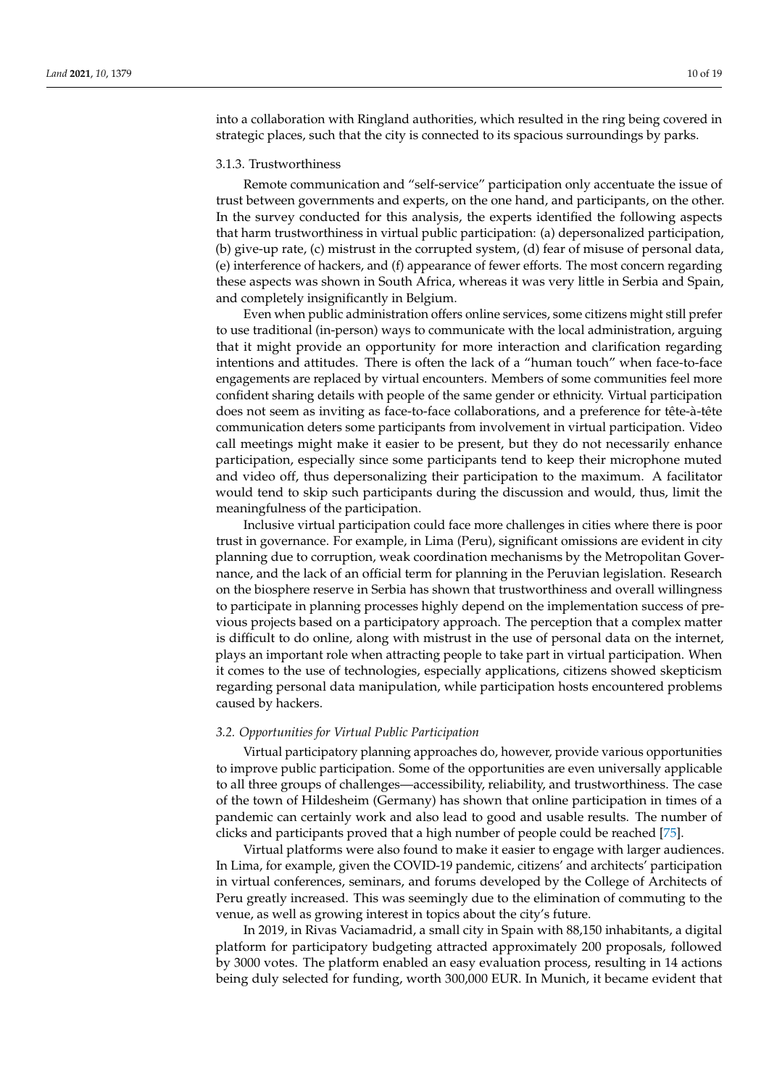into a collaboration with Ringland authorities, which resulted in the ring being covered in strategic places, such that the city is connected to its spacious surroundings by parks.

#### 3.1.3. Trustworthiness

Remote communication and "self-service" participation only accentuate the issue of trust between governments and experts, on the one hand, and participants, on the other. In the survey conducted for this analysis, the experts identified the following aspects that harm trustworthiness in virtual public participation: (a) depersonalized participation, (b) give-up rate, (c) mistrust in the corrupted system, (d) fear of misuse of personal data, (e) interference of hackers, and (f) appearance of fewer efforts. The most concern regarding these aspects was shown in South Africa, whereas it was very little in Serbia and Spain, and completely insignificantly in Belgium.

Even when public administration offers online services, some citizens might still prefer to use traditional (in-person) ways to communicate with the local administration, arguing that it might provide an opportunity for more interaction and clarification regarding intentions and attitudes. There is often the lack of a "human touch" when face-to-face engagements are replaced by virtual encounters. Members of some communities feel more confident sharing details with people of the same gender or ethnicity. Virtual participation does not seem as inviting as face-to-face collaborations, and a preference for tête-à-tête communication deters some participants from involvement in virtual participation. Video call meetings might make it easier to be present, but they do not necessarily enhance participation, especially since some participants tend to keep their microphone muted and video off, thus depersonalizing their participation to the maximum. A facilitator would tend to skip such participants during the discussion and would, thus, limit the meaningfulness of the participation.

Inclusive virtual participation could face more challenges in cities where there is poor trust in governance. For example, in Lima (Peru), significant omissions are evident in city planning due to corruption, weak coordination mechanisms by the Metropolitan Governance, and the lack of an official term for planning in the Peruvian legislation. Research on the biosphere reserve in Serbia has shown that trustworthiness and overall willingness to participate in planning processes highly depend on the implementation success of previous projects based on a participatory approach. The perception that a complex matter is difficult to do online, along with mistrust in the use of personal data on the internet, plays an important role when attracting people to take part in virtual participation. When it comes to the use of technologies, especially applications, citizens showed skepticism regarding personal data manipulation, while participation hosts encountered problems caused by hackers.

#### *3.2. Opportunities for Virtual Public Participation*

Virtual participatory planning approaches do, however, provide various opportunities to improve public participation. Some of the opportunities are even universally applicable to all three groups of challenges—accessibility, reliability, and trustworthiness. The case of the town of Hildesheim (Germany) has shown that online participation in times of a pandemic can certainly work and also lead to good and usable results. The number of clicks and participants proved that a high number of people could be reached [\[75\]](#page-17-4).

Virtual platforms were also found to make it easier to engage with larger audiences. In Lima, for example, given the COVID-19 pandemic, citizens' and architects' participation in virtual conferences, seminars, and forums developed by the College of Architects of Peru greatly increased. This was seemingly due to the elimination of commuting to the venue, as well as growing interest in topics about the city's future.

In 2019, in Rivas Vaciamadrid, a small city in Spain with 88,150 inhabitants, a digital platform for participatory budgeting attracted approximately 200 proposals, followed by 3000 votes. The platform enabled an easy evaluation process, resulting in 14 actions being duly selected for funding, worth 300,000 EUR. In Munich, it became evident that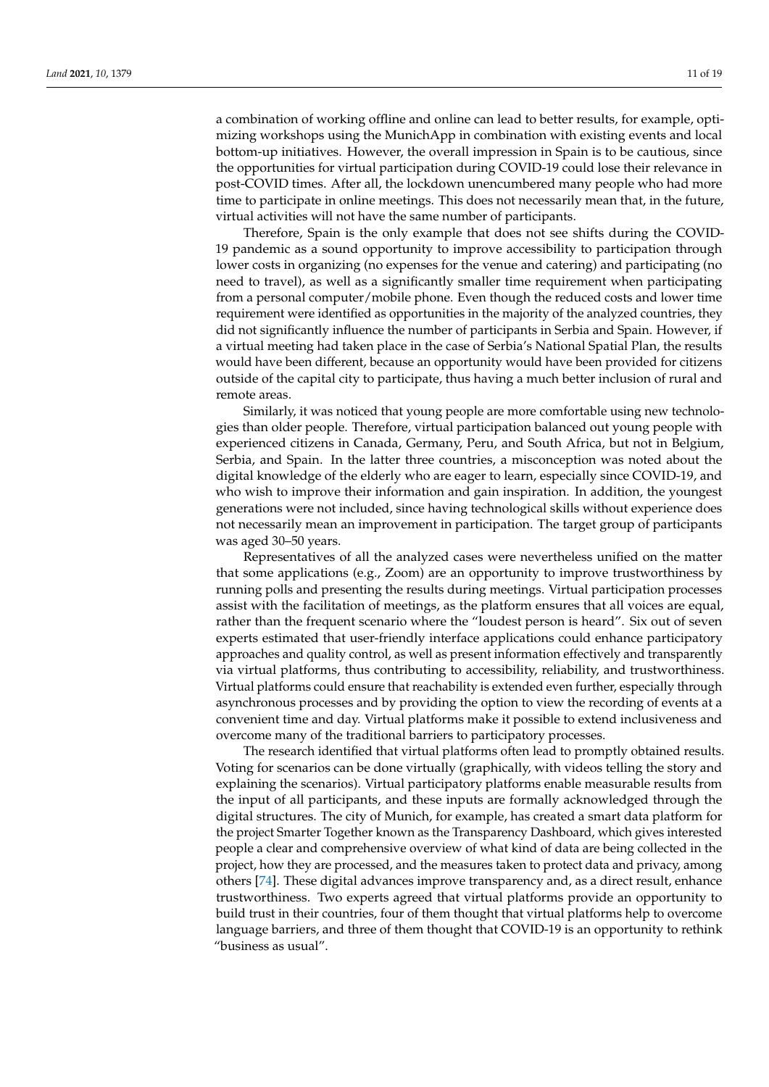a combination of working offline and online can lead to better results, for example, optimizing workshops using the MunichApp in combination with existing events and local bottom-up initiatives. However, the overall impression in Spain is to be cautious, since the opportunities for virtual participation during COVID-19 could lose their relevance in post-COVID times. After all, the lockdown unencumbered many people who had more time to participate in online meetings. This does not necessarily mean that, in the future, virtual activities will not have the same number of participants.

Therefore, Spain is the only example that does not see shifts during the COVID-19 pandemic as a sound opportunity to improve accessibility to participation through lower costs in organizing (no expenses for the venue and catering) and participating (no need to travel), as well as a significantly smaller time requirement when participating from a personal computer/mobile phone. Even though the reduced costs and lower time requirement were identified as opportunities in the majority of the analyzed countries, they did not significantly influence the number of participants in Serbia and Spain. However, if a virtual meeting had taken place in the case of Serbia's National Spatial Plan, the results would have been different, because an opportunity would have been provided for citizens outside of the capital city to participate, thus having a much better inclusion of rural and remote areas.

Similarly, it was noticed that young people are more comfortable using new technologies than older people. Therefore, virtual participation balanced out young people with experienced citizens in Canada, Germany, Peru, and South Africa, but not in Belgium, Serbia, and Spain. In the latter three countries, a misconception was noted about the digital knowledge of the elderly who are eager to learn, especially since COVID-19, and who wish to improve their information and gain inspiration. In addition, the youngest generations were not included, since having technological skills without experience does not necessarily mean an improvement in participation. The target group of participants was aged 30–50 years.

Representatives of all the analyzed cases were nevertheless unified on the matter that some applications (e.g., Zoom) are an opportunity to improve trustworthiness by running polls and presenting the results during meetings. Virtual participation processes assist with the facilitation of meetings, as the platform ensures that all voices are equal, rather than the frequent scenario where the "loudest person is heard". Six out of seven experts estimated that user-friendly interface applications could enhance participatory approaches and quality control, as well as present information effectively and transparently via virtual platforms, thus contributing to accessibility, reliability, and trustworthiness. Virtual platforms could ensure that reachability is extended even further, especially through asynchronous processes and by providing the option to view the recording of events at a convenient time and day. Virtual platforms make it possible to extend inclusiveness and overcome many of the traditional barriers to participatory processes.

The research identified that virtual platforms often lead to promptly obtained results. Voting for scenarios can be done virtually (graphically, with videos telling the story and explaining the scenarios). Virtual participatory platforms enable measurable results from the input of all participants, and these inputs are formally acknowledged through the digital structures. The city of Munich, for example, has created a smart data platform for the project Smarter Together known as the Transparency Dashboard, which gives interested people a clear and comprehensive overview of what kind of data are being collected in the project, how they are processed, and the measures taken to protect data and privacy, among others [\[74\]](#page-17-3). These digital advances improve transparency and, as a direct result, enhance trustworthiness. Two experts agreed that virtual platforms provide an opportunity to build trust in their countries, four of them thought that virtual platforms help to overcome language barriers, and three of them thought that COVID-19 is an opportunity to rethink "business as usual".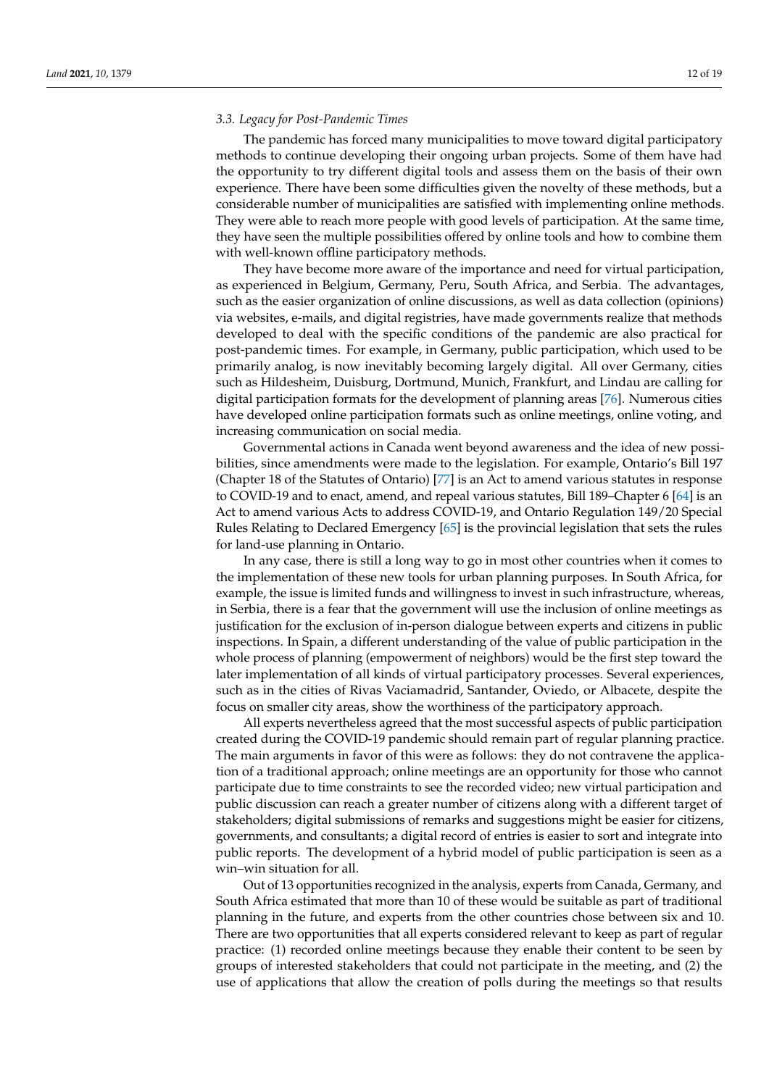## *3.3. Legacy for Post-Pandemic Times*

The pandemic has forced many municipalities to move toward digital participatory methods to continue developing their ongoing urban projects. Some of them have had the opportunity to try different digital tools and assess them on the basis of their own experience. There have been some difficulties given the novelty of these methods, but a considerable number of municipalities are satisfied with implementing online methods. They were able to reach more people with good levels of participation. At the same time, they have seen the multiple possibilities offered by online tools and how to combine them with well-known offline participatory methods.

They have become more aware of the importance and need for virtual participation, as experienced in Belgium, Germany, Peru, South Africa, and Serbia. The advantages, such as the easier organization of online discussions, as well as data collection (opinions) via websites, e-mails, and digital registries, have made governments realize that methods developed to deal with the specific conditions of the pandemic are also practical for post-pandemic times. For example, in Germany, public participation, which used to be primarily analog, is now inevitably becoming largely digital. All over Germany, cities such as Hildesheim, Duisburg, Dortmund, Munich, Frankfurt, and Lindau are calling for digital participation formats for the development of planning areas [\[76\]](#page-17-5). Numerous cities have developed online participation formats such as online meetings, online voting, and increasing communication on social media.

Governmental actions in Canada went beyond awareness and the idea of new possibilities, since amendments were made to the legislation. For example, Ontario's Bill 197 (Chapter 18 of the Statutes of Ontario) [\[77\]](#page-17-6) is an Act to amend various statutes in response to COVID-19 and to enact, amend, and repeal various statutes, Bill 189–Chapter 6 [\[64\]](#page-16-18) is an Act to amend various Acts to address COVID-19, and Ontario Regulation 149/20 Special Rules Relating to Declared Emergency [\[65\]](#page-16-19) is the provincial legislation that sets the rules for land-use planning in Ontario.

In any case, there is still a long way to go in most other countries when it comes to the implementation of these new tools for urban planning purposes. In South Africa, for example, the issue is limited funds and willingness to invest in such infrastructure, whereas, in Serbia, there is a fear that the government will use the inclusion of online meetings as justification for the exclusion of in-person dialogue between experts and citizens in public inspections. In Spain, a different understanding of the value of public participation in the whole process of planning (empowerment of neighbors) would be the first step toward the later implementation of all kinds of virtual participatory processes. Several experiences, such as in the cities of Rivas Vaciamadrid, Santander, Oviedo, or Albacete, despite the focus on smaller city areas, show the worthiness of the participatory approach.

All experts nevertheless agreed that the most successful aspects of public participation created during the COVID-19 pandemic should remain part of regular planning practice. The main arguments in favor of this were as follows: they do not contravene the application of a traditional approach; online meetings are an opportunity for those who cannot participate due to time constraints to see the recorded video; new virtual participation and public discussion can reach a greater number of citizens along with a different target of stakeholders; digital submissions of remarks and suggestions might be easier for citizens, governments, and consultants; a digital record of entries is easier to sort and integrate into public reports. The development of a hybrid model of public participation is seen as a win–win situation for all.

Out of 13 opportunities recognized in the analysis, experts from Canada, Germany, and South Africa estimated that more than 10 of these would be suitable as part of traditional planning in the future, and experts from the other countries chose between six and 10. There are two opportunities that all experts considered relevant to keep as part of regular practice: (1) recorded online meetings because they enable their content to be seen by groups of interested stakeholders that could not participate in the meeting, and (2) the use of applications that allow the creation of polls during the meetings so that results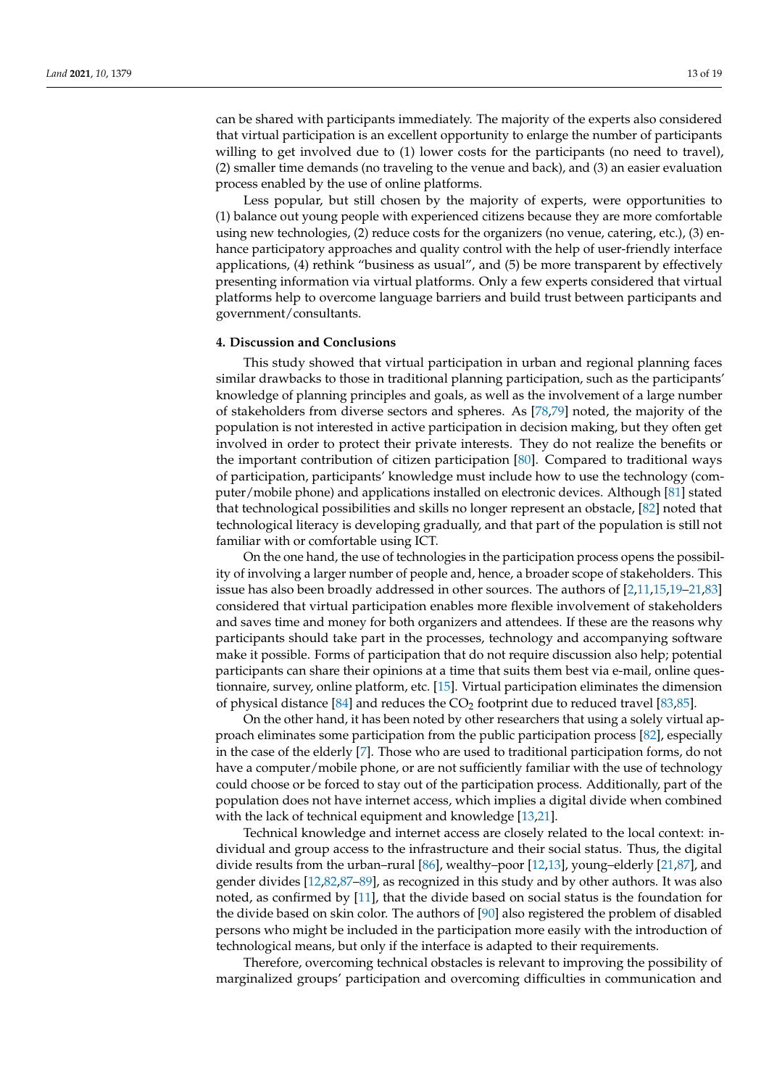can be shared with participants immediately. The majority of the experts also considered that virtual participation is an excellent opportunity to enlarge the number of participants willing to get involved due to (1) lower costs for the participants (no need to travel), (2) smaller time demands (no traveling to the venue and back), and (3) an easier evaluation process enabled by the use of online platforms.

Less popular, but still chosen by the majority of experts, were opportunities to (1) balance out young people with experienced citizens because they are more comfortable using new technologies, (2) reduce costs for the organizers (no venue, catering, etc.), (3) enhance participatory approaches and quality control with the help of user-friendly interface applications, (4) rethink "business as usual", and (5) be more transparent by effectively presenting information via virtual platforms. Only a few experts considered that virtual platforms help to overcome language barriers and build trust between participants and government/consultants.

#### <span id="page-12-0"></span>**4. Discussion and Conclusions**

This study showed that virtual participation in urban and regional planning faces similar drawbacks to those in traditional planning participation, such as the participants' knowledge of planning principles and goals, as well as the involvement of a large number of stakeholders from diverse sectors and spheres. As [\[78,](#page-17-7)[79\]](#page-17-8) noted, the majority of the population is not interested in active participation in decision making, but they often get involved in order to protect their private interests. They do not realize the benefits or the important contribution of citizen participation [\[80\]](#page-17-9). Compared to traditional ways of participation, participants' knowledge must include how to use the technology (computer/mobile phone) and applications installed on electronic devices. Although [\[81\]](#page-17-10) stated that technological possibilities and skills no longer represent an obstacle, [\[82\]](#page-17-11) noted that technological literacy is developing gradually, and that part of the population is still not familiar with or comfortable using ICT.

On the one hand, the use of technologies in the participation process opens the possibility of involving a larger number of people and, hence, a broader scope of stakeholders. This issue has also been broadly addressed in other sources. The authors of [\[2](#page-14-13)[,11](#page-14-14)[,15](#page-14-11)[,19](#page-15-2)[–21](#page-15-4)[,83\]](#page-17-12) considered that virtual participation enables more flexible involvement of stakeholders and saves time and money for both organizers and attendees. If these are the reasons why participants should take part in the processes, technology and accompanying software make it possible. Forms of participation that do not require discussion also help; potential participants can share their opinions at a time that suits them best via e-mail, online questionnaire, survey, online platform, etc. [\[15\]](#page-14-11). Virtual participation eliminates the dimension of physical distance [\[84\]](#page-17-13) and reduces the  $CO<sub>2</sub>$  footprint due to reduced travel [\[83,](#page-17-12)[85\]](#page-17-14).

On the other hand, it has been noted by other researchers that using a solely virtual approach eliminates some participation from the public participation process [\[82\]](#page-17-11), especially in the case of the elderly [\[7\]](#page-14-4). Those who are used to traditional participation forms, do not have a computer/mobile phone, or are not sufficiently familiar with the use of technology could choose or be forced to stay out of the participation process. Additionally, part of the population does not have internet access, which implies a digital divide when combined with the lack of technical equipment and knowledge [\[13](#page-14-8)[,21\]](#page-15-4).

Technical knowledge and internet access are closely related to the local context: individual and group access to the infrastructure and their social status. Thus, the digital divide results from the urban–rural [\[86\]](#page-17-15), wealthy–poor [\[12](#page-14-10)[,13\]](#page-14-8), young–elderly [\[21](#page-15-4)[,87\]](#page-17-16), and gender divides [\[12,](#page-14-10)[82](#page-17-11)[,87](#page-17-16)[–89\]](#page-17-17), as recognized in this study and by other authors. It was also noted, as confirmed by [\[11\]](#page-14-14), that the divide based on social status is the foundation for the divide based on skin color. The authors of [\[90\]](#page-17-18) also registered the problem of disabled persons who might be included in the participation more easily with the introduction of technological means, but only if the interface is adapted to their requirements.

Therefore, overcoming technical obstacles is relevant to improving the possibility of marginalized groups' participation and overcoming difficulties in communication and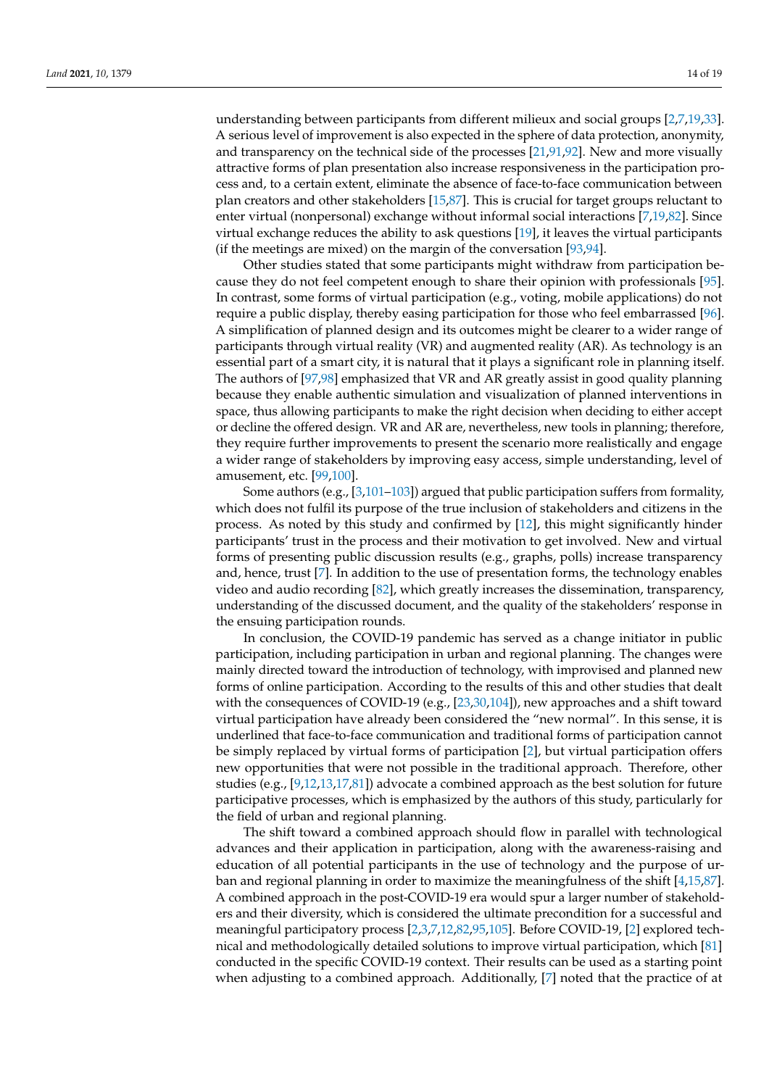understanding between participants from different milieux and social groups [\[2,](#page-14-13)[7,](#page-14-4)[19,](#page-15-2)[33\]](#page-15-14). A serious level of improvement is also expected in the sphere of data protection, anonymity, and transparency on the technical side of the processes [\[21](#page-15-4)[,91](#page-17-19)[,92\]](#page-17-20). New and more visually attractive forms of plan presentation also increase responsiveness in the participation process and, to a certain extent, eliminate the absence of face-to-face communication between plan creators and other stakeholders [\[15](#page-14-11)[,87\]](#page-17-16). This is crucial for target groups reluctant to enter virtual (nonpersonal) exchange without informal social interactions [\[7,](#page-14-4)[19,](#page-15-2)[82\]](#page-17-11). Since virtual exchange reduces the ability to ask questions [\[19\]](#page-15-2), it leaves the virtual participants (if the meetings are mixed) on the margin of the conversation [\[93,](#page-17-21)[94\]](#page-17-22).

Other studies stated that some participants might withdraw from participation because they do not feel competent enough to share their opinion with professionals [\[95\]](#page-17-23). In contrast, some forms of virtual participation (e.g., voting, mobile applications) do not require a public display, thereby easing participation for those who feel embarrassed [\[96\]](#page-17-24). A simplification of planned design and its outcomes might be clearer to a wider range of participants through virtual reality (VR) and augmented reality (AR). As technology is an essential part of a smart city, it is natural that it plays a significant role in planning itself. The authors of [\[97,](#page-17-25)[98\]](#page-17-26) emphasized that VR and AR greatly assist in good quality planning because they enable authentic simulation and visualization of planned interventions in space, thus allowing participants to make the right decision when deciding to either accept or decline the offered design. VR and AR are, nevertheless, new tools in planning; therefore, they require further improvements to present the scenario more realistically and engage a wider range of stakeholders by improving easy access, simple understanding, level of amusement, etc. [\[99](#page-18-0)[,100\]](#page-18-1).

Some authors (e.g., [\[3](#page-14-3)[,101–](#page-18-2)[103\]](#page-18-3)) argued that public participation suffers from formality, which does not fulfil its purpose of the true inclusion of stakeholders and citizens in the process. As noted by this study and confirmed by [\[12\]](#page-14-10), this might significantly hinder participants' trust in the process and their motivation to get involved. New and virtual forms of presenting public discussion results (e.g., graphs, polls) increase transparency and, hence, trust [\[7\]](#page-14-4). In addition to the use of presentation forms, the technology enables video and audio recording [\[82\]](#page-17-11), which greatly increases the dissemination, transparency, understanding of the discussed document, and the quality of the stakeholders' response in the ensuing participation rounds.

In conclusion, the COVID-19 pandemic has served as a change initiator in public participation, including participation in urban and regional planning. The changes were mainly directed toward the introduction of technology, with improvised and planned new forms of online participation. According to the results of this and other studies that dealt with the consequences of COVID-19 (e.g., [\[23,](#page-15-5)[30,](#page-15-12)[104\]](#page-18-4)), new approaches and a shift toward virtual participation have already been considered the "new normal". In this sense, it is underlined that face-to-face communication and traditional forms of participation cannot be simply replaced by virtual forms of participation [\[2\]](#page-14-13), but virtual participation offers new opportunities that were not possible in the traditional approach. Therefore, other studies (e.g., [\[9](#page-14-6)[,12](#page-14-10)[,13,](#page-14-8)[17,](#page-15-0)[81\]](#page-17-10)) advocate a combined approach as the best solution for future participative processes, which is emphasized by the authors of this study, particularly for the field of urban and regional planning.

The shift toward a combined approach should flow in parallel with technological advances and their application in participation, along with the awareness-raising and education of all potential participants in the use of technology and the purpose of urban and regional planning in order to maximize the meaningfulness of the shift [\[4,](#page-14-15)[15,](#page-14-11)[87\]](#page-17-16). A combined approach in the post-COVID-19 era would spur a larger number of stakeholders and their diversity, which is considered the ultimate precondition for a successful and meaningful participatory process [\[2](#page-14-13)[,3,](#page-14-3)[7,](#page-14-4)[12,](#page-14-10)[82,](#page-17-11)[95](#page-17-23)[,105\]](#page-18-5). Before COVID-19, [\[2\]](#page-14-13) explored technical and methodologically detailed solutions to improve virtual participation, which [\[81\]](#page-17-10) conducted in the specific COVID-19 context. Their results can be used as a starting point when adjusting to a combined approach. Additionally, [\[7\]](#page-14-4) noted that the practice of at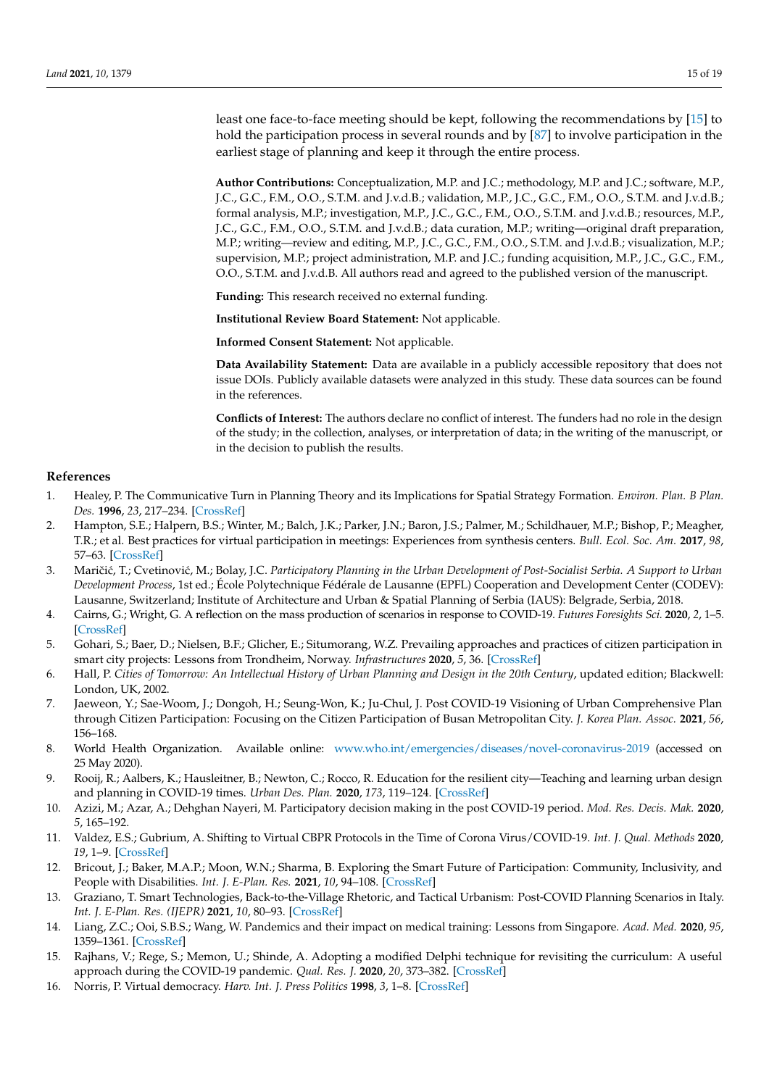least one face-to-face meeting should be kept, following the recommendations by [\[15\]](#page-14-11) to hold the participation process in several rounds and by [\[87\]](#page-17-16) to involve participation in the earliest stage of planning and keep it through the entire process.

**Author Contributions:** Conceptualization, M.P. and J.C.; methodology, M.P. and J.C.; software, M.P., J.C., G.C., F.M., O.O., S.T.M. and J.v.d.B.; validation, M.P., J.C., G.C., F.M., O.O., S.T.M. and J.v.d.B.; formal analysis, M.P.; investigation, M.P., J.C., G.C., F.M., O.O., S.T.M. and J.v.d.B.; resources, M.P., J.C., G.C., F.M., O.O., S.T.M. and J.v.d.B.; data curation, M.P.; writing—original draft preparation, M.P.; writing—review and editing, M.P., J.C., G.C., F.M., O.O., S.T.M. and J.v.d.B.; visualization, M.P.; supervision, M.P.; project administration, M.P. and J.C.; funding acquisition, M.P., J.C., G.C., F.M., O.O., S.T.M. and J.v.d.B. All authors read and agreed to the published version of the manuscript.

**Funding:** This research received no external funding.

**Institutional Review Board Statement:** Not applicable.

**Informed Consent Statement:** Not applicable.

**Data Availability Statement:** Data are available in a publicly accessible repository that does not issue DOIs. Publicly available datasets were analyzed in this study. These data sources can be found in the references.

**Conflicts of Interest:** The authors declare no conflict of interest. The funders had no role in the design of the study; in the collection, analyses, or interpretation of data; in the writing of the manuscript, or in the decision to publish the results.

#### **References**

- <span id="page-14-0"></span>1. Healey, P. The Communicative Turn in Planning Theory and its Implications for Spatial Strategy Formation. *Environ. Plan. B Plan. Des.* **1996**, *23*, 217–234. [\[CrossRef\]](http://doi.org/10.1068/b230217)
- <span id="page-14-13"></span>2. Hampton, S.E.; Halpern, B.S.; Winter, M.; Balch, J.K.; Parker, J.N.; Baron, J.S.; Palmer, M.; Schildhauer, M.P.; Bishop, P.; Meagher, T.R.; et al. Best practices for virtual participation in meetings: Experiences from synthesis centers. *Bull. Ecol. Soc. Am.* **2017**, *98*, 57–63. [\[CrossRef\]](http://doi.org/10.1002/bes2.1290)
- <span id="page-14-3"></span>3. Maričić, T.; Cvetinović, M.; Bolay, J.C. Participatory Planning in the Urban Development of Post-Socialist Serbia. A Support to Urban *Development Process*, 1st ed.; École Polytechnique Fédérale de Lausanne (EPFL) Cooperation and Development Center (CODEV): Lausanne, Switzerland; Institute of Architecture and Urban & Spatial Planning of Serbia (IAUS): Belgrade, Serbia, 2018.
- <span id="page-14-15"></span>4. Cairns, G.; Wright, G. A reflection on the mass production of scenarios in response to COVID-19. *Futures Foresights Sci.* **2020**, *2*, 1–5. [\[CrossRef\]](http://doi.org/10.1002/ffo2.34)
- <span id="page-14-1"></span>5. Gohari, S.; Baer, D.; Nielsen, B.F.; Glicher, E.; Situmorang, W.Z. Prevailing approaches and practices of citizen participation in smart city projects: Lessons from Trondheim, Norway. *Infrastructures* **2020**, *5*, 36. [\[CrossRef\]](http://doi.org/10.3390/infrastructures5040036)
- <span id="page-14-2"></span>6. Hall, P. *Cities of Tomorrow: An Intellectual History of Urban Planning and Design in the 20th Century*, updated edition; Blackwell: London, UK, 2002.
- <span id="page-14-4"></span>7. Jaeweon, Y.; Sae-Woom, J.; Dongoh, H.; Seung-Won, K.; Ju-Chul, J. Post COVID-19 Visioning of Urban Comprehensive Plan through Citizen Participation: Focusing on the Citizen Participation of Busan Metropolitan City. *J. Korea Plan. Assoc.* **2021**, *56*, 156–168.
- <span id="page-14-5"></span>8. World Health Organization. Available online: <www.who.int/emergencies/diseases/novel-coronavirus-2019> (accessed on 25 May 2020).
- <span id="page-14-6"></span>9. Rooij, R.; Aalbers, K.; Hausleitner, B.; Newton, C.; Rocco, R. Education for the resilient city—Teaching and learning urban design and planning in COVID-19 times. *Urban Des. Plan.* **2020**, *173*, 119–124. [\[CrossRef\]](http://doi.org/10.1680/jurdp.20.00052)
- <span id="page-14-7"></span>10. Azizi, M.; Azar, A.; Dehghan Nayeri, M. Participatory decision making in the post COVID-19 period. *Mod. Res. Decis. Mak.* **2020**, *5*, 165–192.
- <span id="page-14-14"></span>11. Valdez, E.S.; Gubrium, A. Shifting to Virtual CBPR Protocols in the Time of Corona Virus/COVID-19. *Int. J. Qual. Methods* **2020**, *19*, 1–9. [\[CrossRef\]](http://doi.org/10.1177/1609406920977315)
- <span id="page-14-10"></span>12. Bricout, J.; Baker, M.A.P.; Moon, W.N.; Sharma, B. Exploring the Smart Future of Participation: Community, Inclusivity, and People with Disabilities. *Int. J. E-Plan. Res.* **2021**, *10*, 94–108. [\[CrossRef\]](http://doi.org/10.4018/IJEPR.20210401.oa8)
- <span id="page-14-8"></span>13. Graziano, T. Smart Technologies, Back-to-the-Village Rhetoric, and Tactical Urbanism: Post-COVID Planning Scenarios in Italy. *Int. J. E-Plan. Res. (IJEPR)* **2021**, *10*, 80–93. [\[CrossRef\]](http://doi.org/10.4018/IJEPR.20210401.oa7)
- <span id="page-14-9"></span>14. Liang, Z.C.; Ooi, S.B.S.; Wang, W. Pandemics and their impact on medical training: Lessons from Singapore. *Acad. Med.* **2020**, *95*, 1359–1361. [\[CrossRef\]](http://doi.org/10.1097/ACM.0000000000003441)
- <span id="page-14-11"></span>15. Rajhans, V.; Rege, S.; Memon, U.; Shinde, A. Adopting a modified Delphi technique for revisiting the curriculum: A useful approach during the COVID-19 pandemic. *Qual. Res. J.* **2020**, *20*, 373–382. [\[CrossRef\]](http://doi.org/10.1108/QRJ-05-2020-0043)
- <span id="page-14-12"></span>16. Norris, P. Virtual democracy. *Harv. Int. J. Press Politics* **1998**, *3*, 1–8. [\[CrossRef\]](http://doi.org/10.1177/1081180X98003002001)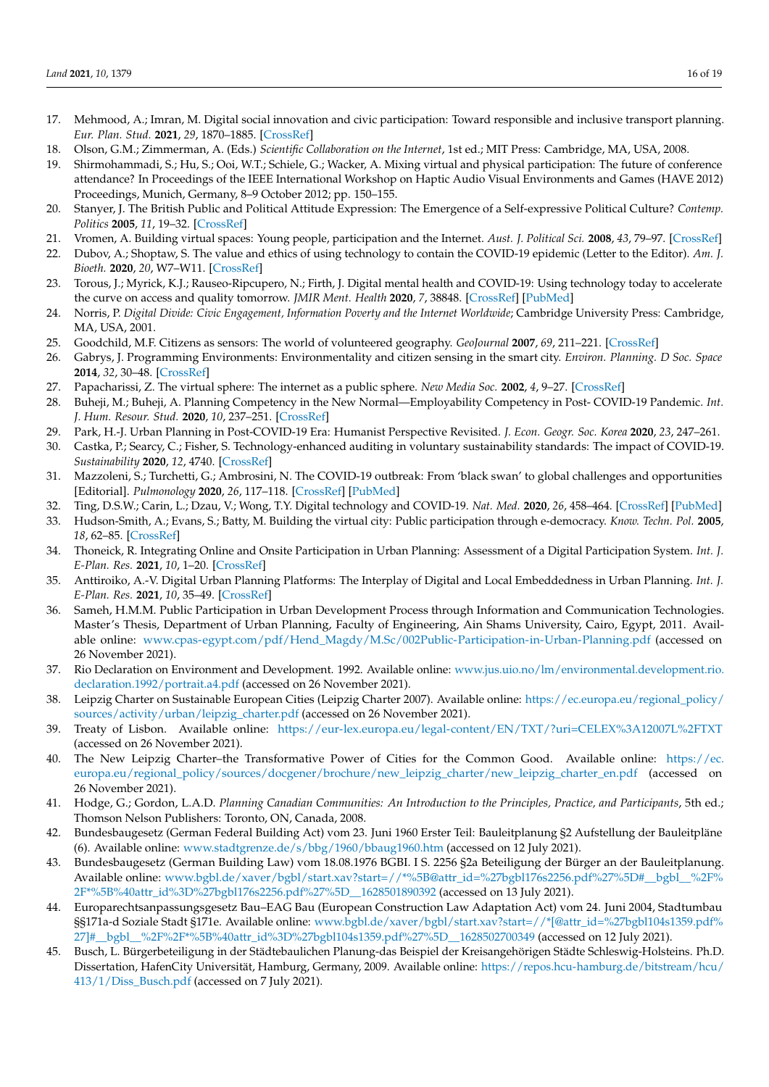- <span id="page-15-0"></span>17. Mehmood, A.; Imran, M. Digital social innovation and civic participation: Toward responsible and inclusive transport planning. *Eur. Plan. Stud.* **2021**, *29*, 1870–1885. [\[CrossRef\]](http://doi.org/10.1080/09654313.2021.1882946)
- <span id="page-15-1"></span>18. Olson, G.M.; Zimmerman, A. (Eds.) *Scientific Collaboration on the Internet*, 1st ed.; MIT Press: Cambridge, MA, USA, 2008.
- <span id="page-15-2"></span>19. Shirmohammadi, S.; Hu, S.; Ooi, W.T.; Schiele, G.; Wacker, A. Mixing virtual and physical participation: The future of conference attendance? In Proceedings of the IEEE International Workshop on Haptic Audio Visual Environments and Games (HAVE 2012) Proceedings, Munich, Germany, 8–9 October 2012; pp. 150–155.
- <span id="page-15-3"></span>20. Stanyer, J. The British Public and Political Attitude Expression: The Emergence of a Self-expressive Political Culture? *Contemp. Politics* **2005**, *11*, 19–32. [\[CrossRef\]](http://doi.org/10.1080/13569770500098623)
- <span id="page-15-4"></span>21. Vromen, A. Building virtual spaces: Young people, participation and the Internet. *Aust. J. Political Sci.* **2008**, *43*, 79–97. [\[CrossRef\]](http://doi.org/10.1080/10361140701842581)
- 22. Dubov, A.; Shoptaw, S. The value and ethics of using technology to contain the COVID-19 epidemic (Letter to the Editor). *Am. J. Bioeth.* **2020**, *20*, W7–W11. [\[CrossRef\]](http://doi.org/10.1080/15265161.2020.1764136)
- <span id="page-15-5"></span>23. Torous, J.; Myrick, K.J.; Rauseo-Ripcupero, N.; Firth, J. Digital mental health and COVID-19: Using technology today to accelerate the curve on access and quality tomorrow. *JMIR Ment. Health* **2020**, *7*, 38848. [\[CrossRef\]](http://doi.org/10.2196/18848) [\[PubMed\]](http://www.ncbi.nlm.nih.gov/pubmed/32213476)
- <span id="page-15-6"></span>24. Norris, P. *Digital Divide: Civic Engagement, Information Poverty and the Internet Worldwide*; Cambridge University Press: Cambridge, MA, USA, 2001.
- <span id="page-15-7"></span>25. Goodchild, M.F. Citizens as sensors: The world of volunteered geography. *GeoJournal* **2007**, *69*, 211–221. [\[CrossRef\]](http://doi.org/10.1007/s10708-007-9111-y)
- <span id="page-15-8"></span>26. Gabrys, J. Programming Environments: Environmentality and citizen sensing in the smart city. *Environ. Planning. D Soc. Space* **2014**, *32*, 30–48. [\[CrossRef\]](http://doi.org/10.1068/d16812)
- <span id="page-15-9"></span>27. Papacharissi, Z. The virtual sphere: The internet as a public sphere. *New Media Soc.* **2002**, *4*, 9–27. [\[CrossRef\]](http://doi.org/10.1177/14614440222226244)
- <span id="page-15-10"></span>28. Buheji, M.; Buheji, A. Planning Competency in the New Normal—Employability Competency in Post- COVID-19 Pandemic. *Int. J. Hum. Resour. Stud.* **2020**, *10*, 237–251. [\[CrossRef\]](http://doi.org/10.5296/ijhrs.v10i2.17085)
- <span id="page-15-11"></span>29. Park, H.-J. Urban Planning in Post-COVID-19 Era: Humanist Perspective Revisited. *J. Econ. Geogr. Soc. Korea* **2020**, *23*, 247–261.
- <span id="page-15-12"></span>30. Castka, P.; Searcy, C.; Fisher, S. Technology-enhanced auditing in voluntary sustainability standards: The impact of COVID-19. *Sustainability* **2020**, *12*, 4740. [\[CrossRef\]](http://doi.org/10.3390/su12114740)
- 31. Mazzoleni, S.; Turchetti, G.; Ambrosini, N. The COVID-19 outbreak: From 'black swan' to global challenges and opportunities [Editorial]. *Pulmonology* **2020**, *26*, 117–118. [\[CrossRef\]](http://doi.org/10.1016/j.pulmoe.2020.03.002) [\[PubMed\]](http://www.ncbi.nlm.nih.gov/pubmed/32291202)
- <span id="page-15-13"></span>32. Ting, D.S.W.; Carin, L.; Dzau, V.; Wong, T.Y. Digital technology and COVID-19. *Nat. Med.* **2020**, *26*, 458–464. [\[CrossRef\]](http://doi.org/10.1038/s41591-020-0824-5) [\[PubMed\]](http://www.ncbi.nlm.nih.gov/pubmed/32284618)
- <span id="page-15-14"></span>33. Hudson-Smith, A.; Evans, S.; Batty, M. Building the virtual city: Public participation through e-democracy. *Know. Techn. Pol.* **2005**, *18*, 62–85. [\[CrossRef\]](http://doi.org/10.1007/s12130-005-1016-9)
- <span id="page-15-15"></span>34. Thoneick, R. Integrating Online and Onsite Participation in Urban Planning: Assessment of a Digital Participation System. *Int. J. E-Plan. Res.* **2021**, *10*, 1–20. [\[CrossRef\]](http://doi.org/10.4018/IJEPR.2021010101)
- <span id="page-15-16"></span>35. Anttiroiko, A.-V. Digital Urban Planning Platforms: The Interplay of Digital and Local Embeddedness in Urban Planning. *Int. J. E-Plan. Res.* **2021**, *10*, 35–49. [\[CrossRef\]](http://doi.org/10.4018/IJEPR.20210701.oa3)
- <span id="page-15-17"></span>36. Sameh, H.M.M. Public Participation in Urban Development Process through Information and Communication Technologies. Master's Thesis, Department of Urban Planning, Faculty of Engineering, Ain Shams University, Cairo, Egypt, 2011. Available online: [www.cpas-egypt.com/pdf/Hend\\_Magdy/M.Sc/002Public-Participation-in-Urban-Planning.pdf](www.cpas-egypt.com/pdf/Hend_Magdy/M.Sc/002Public-Participation-in-Urban-Planning.pdf) (accessed on 26 November 2021).
- <span id="page-15-18"></span>37. Rio Declaration on Environment and Development. 1992. Available online: [www.jus.uio.no/lm/environmental.development.rio.](www.jus.uio.no/lm/environmental.development.rio.declaration.1992/portrait.a4.pdf) [declaration.1992/portrait.a4.pdf](www.jus.uio.no/lm/environmental.development.rio.declaration.1992/portrait.a4.pdf) (accessed on 26 November 2021).
- <span id="page-15-19"></span>38. Leipzig Charter on Sustainable European Cities (Leipzig Charter 2007). Available online: [https://ec.europa.eu/regional\\_policy/](https://ec.europa.eu/regional_policy/sources/activity/urban/leipzig_charter.pdf) [sources/activity/urban/leipzig\\_charter.pdf](https://ec.europa.eu/regional_policy/sources/activity/urban/leipzig_charter.pdf) (accessed on 26 November 2021).
- <span id="page-15-20"></span>39. Treaty of Lisbon. Available online: <https://eur-lex.europa.eu/legal-content/EN/TXT/?uri=CELEX%3A12007L%2FTXT> (accessed on 26 November 2021).
- <span id="page-15-21"></span>40. The New Leipzig Charter–the Transformative Power of Cities for the Common Good. Available online: [https://ec.](https://ec.europa.eu/regional_policy/sources/docgener/brochure/new_leipzig_charter/new_leipzig_charter_en.pdf) [europa.eu/regional\\_policy/sources/docgener/brochure/new\\_leipzig\\_charter/new\\_leipzig\\_charter\\_en.pdf](https://ec.europa.eu/regional_policy/sources/docgener/brochure/new_leipzig_charter/new_leipzig_charter_en.pdf) (accessed on 26 November 2021).
- <span id="page-15-22"></span>41. Hodge, G.; Gordon, L.A.D. *Planning Canadian Communities: An Introduction to the Principles, Practice, and Participants*, 5th ed.; Thomson Nelson Publishers: Toronto, ON, Canada, 2008.
- <span id="page-15-23"></span>42. Bundesbaugesetz (German Federal Building Act) vom 23. Juni 1960 Erster Teil: Bauleitplanung §2 Aufstellung der Bauleitpläne (6). Available online: <www.stadtgrenze.de/s/bbg/1960/bbaug1960.htm> (accessed on 12 July 2021).
- <span id="page-15-24"></span>43. Bundesbaugesetz (German Building Law) vom 18.08.1976 BGBI. I S. 2256 §2a Beteiligung der Bürger an der Bauleitplanung. Available online: [www.bgbl.de/xaver/bgbl/start.xav?start=//\\*%5B@attr\\_id=%27bgbl176s2256.pdf%27%5D#\\_\\_bgbl\\_\\_%2F%](www.bgbl.de/xaver/bgbl/start.xav?start=//*%5B@attr_id=%27bgbl176s2256.pdf%27%5D#__bgbl__%2F%2F*%5B%40attr_id%3D%27bgbl176s2256.pdf%27%5D__1628501890392) [2F\\*%5B%40attr\\_id%3D%27bgbl176s2256.pdf%27%5D\\_\\_1628501890392](www.bgbl.de/xaver/bgbl/start.xav?start=//*%5B@attr_id=%27bgbl176s2256.pdf%27%5D#__bgbl__%2F%2F*%5B%40attr_id%3D%27bgbl176s2256.pdf%27%5D__1628501890392) (accessed on 13 July 2021).
- <span id="page-15-25"></span>44. Europarechtsanpassungsgesetz Bau–EAG Bau (European Construction Law Adaptation Act) vom 24. Juni 2004, Stadtumbau §§171a-d Soziale Stadt §171e. Available online: [www.bgbl.de/xaver/bgbl/start.xav?start=//\\*\[@attr\\_id=%27bgbl104s1359.pdf%](www.bgbl.de/xaver/bgbl/start.xav?start=//*[@attr_id=%27bgbl104s1359.pdf%27]#__bgbl__%2F%2F*%5B%40attr_id%3D%27bgbl104s1359.pdf%27%5D__1628502700349) [27\]#\\_\\_bgbl\\_\\_%2F%2F\\*%5B%40attr\\_id%3D%27bgbl104s1359.pdf%27%5D\\_\\_1628502700349](www.bgbl.de/xaver/bgbl/start.xav?start=//*[@attr_id=%27bgbl104s1359.pdf%27]#__bgbl__%2F%2F*%5B%40attr_id%3D%27bgbl104s1359.pdf%27%5D__1628502700349) (accessed on 12 July 2021).
- <span id="page-15-26"></span>45. Busch, L. Bürgerbeteiligung in der Städtebaulichen Planung-das Beispiel der Kreisangehörigen Städte Schleswig-Holsteins. Ph.D. Dissertation, HafenCity Universität, Hamburg, Germany, 2009. Available online: [https://repos.hcu-hamburg.de/bitstream/hcu/](https://repos.hcu-hamburg.de/bitstream/hcu/413/1/Diss_Busch.pdf) [413/1/Diss\\_Busch.pdf](https://repos.hcu-hamburg.de/bitstream/hcu/413/1/Diss_Busch.pdf) (accessed on 7 July 2021).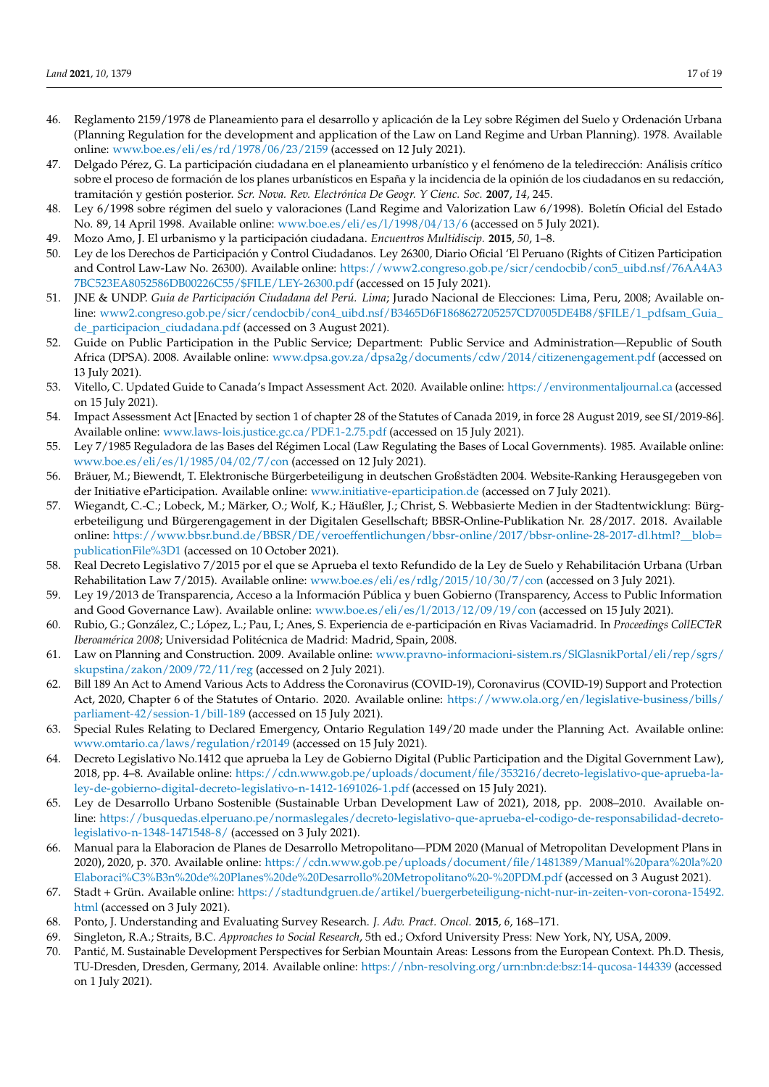- <span id="page-16-0"></span>46. Reglamento 2159/1978 de Planeamiento para el desarrollo y aplicación de la Ley sobre Régimen del Suelo y Ordenación Urbana (Planning Regulation for the development and application of the Law on Land Regime and Urban Planning). 1978. Available online: <www.boe.es/eli/es/rd/1978/06/23/2159> (accessed on 12 July 2021).
- <span id="page-16-1"></span>47. Delgado Pérez, G. La participación ciudadana en el planeamiento urbanístico y el fenómeno de la teledirección: Análisis crítico sobre el proceso de formación de los planes urbanísticos en España y la incidencia de la opinión de los ciudadanos en su redacción, tramitación y gestión posterior. *Scr. Nova. Rev. Electrónica De Geogr. Y Cienc. Soc.* **2007**, *14*, 245.
- <span id="page-16-2"></span>48. Ley 6/1998 sobre régimen del suelo y valoraciones (Land Regime and Valorization Law 6/1998). Boletín Oficial del Estado No. 89, 14 April 1998. Available online: <www.boe.es/eli/es/l/1998/04/13/6> (accessed on 5 July 2021).
- <span id="page-16-3"></span>49. Mozo Amo, J. El urbanismo y la participación ciudadana. *Encuentros Multidiscip.* **2015**, *50*, 1–8.
- <span id="page-16-4"></span>50. Ley de los Derechos de Participación y Control Ciudadanos. Ley 26300, Diario Oficial 'El Peruano (Rights of Citizen Participation and Control Law-Law No. 26300). Available online: [https://www2.congreso.gob.pe/sicr/cendocbib/con5\\_uibd.nsf/76AA4A3](https://www2.congreso.gob.pe/sicr/cendocbib/con5_uibd.nsf/76AA4A37BC523EA8052586DB00226C55/$FILE/LEY-26300.pdf) [7BC523EA8052586DB00226C55/\\$FILE/LEY-26300.pdf](https://www2.congreso.gob.pe/sicr/cendocbib/con5_uibd.nsf/76AA4A37BC523EA8052586DB00226C55/$FILE/LEY-26300.pdf) (accessed on 15 July 2021).
- <span id="page-16-5"></span>51. JNE & UNDP. *Guia de Participación Ciudadana del Perú. Lima*; Jurado Nacional de Elecciones: Lima, Peru, 2008; Available online: [www2.congreso.gob.pe/sicr/cendocbib/con4\\_uibd.nsf/B3465D6F1868627205257CD7005DE4B8/\\$FILE/1\\_pdfsam\\_Guia\\_](www2.congreso.gob.pe/sicr/cendocbib/con4_uibd.nsf/B3465D6F1868627205257CD7005DE4B8/$FILE/1_pdfsam_Guia_de_participacion_ciudadana.pdf) [de\\_participacion\\_ciudadana.pdf](www2.congreso.gob.pe/sicr/cendocbib/con4_uibd.nsf/B3465D6F1868627205257CD7005DE4B8/$FILE/1_pdfsam_Guia_de_participacion_ciudadana.pdf) (accessed on 3 August 2021).
- <span id="page-16-6"></span>52. Guide on Public Participation in the Public Service; Department: Public Service and Administration—Republic of South Africa (DPSA). 2008. Available online: <www.dpsa.gov.za/dpsa2g/documents/cdw/2014/citizenengagement.pdf> (accessed on 13 July 2021).
- <span id="page-16-7"></span>53. Vitello, C. Updated Guide to Canada's Impact Assessment Act. 2020. Available online: <https://environmentaljournal.ca> (accessed on 15 July 2021).
- <span id="page-16-8"></span>54. Impact Assessment Act [Enacted by section 1 of chapter 28 of the Statutes of Canada 2019, in force 28 August 2019, see SI/2019-86]. Available online: <www.laws-lois.justice.gc.ca/PDF.1-2.75.pdf> (accessed on 15 July 2021).
- <span id="page-16-9"></span>55. Ley 7/1985 Reguladora de las Bases del Régimen Local (Law Regulating the Bases of Local Governments). 1985. Available online: <www.boe.es/eli/es/l/1985/04/02/7/con> (accessed on 12 July 2021).
- <span id="page-16-10"></span>56. Bräuer, M.; Biewendt, T. Elektronische Bürgerbeteiligung in deutschen Großstädten 2004. Website-Ranking Herausgegeben von der Initiative eParticipation. Available online: <www.initiative-eparticipation.de> (accessed on 7 July 2021).
- <span id="page-16-11"></span>57. Wiegandt, C.-C.; Lobeck, M.; Märker, O.; Wolf, K.; Häußler, J.; Christ, S. Webbasierte Medien in der Stadtentwicklung: Bürgerbeteiligung und Bürgerengagement in der Digitalen Gesellschaft; BBSR-Online-Publikation Nr. 28/2017. 2018. Available online: [https://www.bbsr.bund.de/BBSR/DE/veroeffentlichungen/bbsr-online/2017/bbsr-online-28-2017-dl.html?\\_\\_blob=](https://www.bbsr.bund.de/BBSR/DE/veroeffentlichungen/bbsr-online/2017/bbsr-online-28-2017-dl.html?__blob=publicationFile%3D1) [publicationFile%3D1](https://www.bbsr.bund.de/BBSR/DE/veroeffentlichungen/bbsr-online/2017/bbsr-online-28-2017-dl.html?__blob=publicationFile%3D1) (accessed on 10 October 2021).
- <span id="page-16-12"></span>58. Real Decreto Legislativo 7/2015 por el que se Aprueba el texto Refundido de la Ley de Suelo y Rehabilitación Urbana (Urban Rehabilitation Law 7/2015). Available online: <www.boe.es/eli/es/rdlg/2015/10/30/7/con> (accessed on 3 July 2021).
- <span id="page-16-13"></span>59. Ley 19/2013 de Transparencia, Acceso a la Información Pública y buen Gobierno (Transparency, Access to Public Information and Good Governance Law). Available online: <www.boe.es/eli/es/l/2013/12/09/19/con> (accessed on 15 July 2021).
- <span id="page-16-14"></span>60. Rubio, G.; González, C.; López, L.; Pau, I.; Anes, S. Experiencia de e-participación en Rivas Vaciamadrid. In *Proceedings CollECTeR Iberoamérica 2008*; Universidad Politécnica de Madrid: Madrid, Spain, 2008.
- <span id="page-16-15"></span>61. Law on Planning and Construction. 2009. Available online: [www.pravno-informacioni-sistem.rs/SlGlasnikPortal/eli/rep/sgrs/](www.pravno-informacioni-sistem.rs/SlGlasnikPortal/eli/rep/sgrs/skupstina/zakon/2009/72/11/reg) [skupstina/zakon/2009/72/11/reg](www.pravno-informacioni-sistem.rs/SlGlasnikPortal/eli/rep/sgrs/skupstina/zakon/2009/72/11/reg) (accessed on 2 July 2021).
- <span id="page-16-16"></span>62. Bill 189 An Act to Amend Various Acts to Address the Coronavirus (COVID-19), Coronavirus (COVID-19) Support and Protection Act, 2020, Chapter 6 of the Statutes of Ontario. 2020. Available online: [https://www.ola.org/en/legislative-business/bills/](https://www.ola.org/en/legislative-business/bills/parliament-42/session-1/bill-189) [parliament-42/session-1/bill-189](https://www.ola.org/en/legislative-business/bills/parliament-42/session-1/bill-189) (accessed on 15 July 2021).
- <span id="page-16-17"></span>63. Special Rules Relating to Declared Emergency, Ontario Regulation 149/20 made under the Planning Act. Available online: <www.omtario.ca/laws/regulation/r20149> (accessed on 15 July 2021).
- <span id="page-16-18"></span>64. Decreto Legislativo No.1412 que aprueba la Ley de Gobierno Digital (Public Participation and the Digital Government Law), 2018, pp. 4–8. Available online: [https://cdn.www.gob.pe/uploads/document/file/353216/decreto-legislativo-que-aprueba-la](https://cdn.www.gob.pe/uploads/document/file/353216/decreto-legislativo-que-aprueba-la-ley-de-gobierno-digital-decreto-legislativo-n-1412-1691026-1.pdf)[ley-de-gobierno-digital-decreto-legislativo-n-1412-1691026-1.pdf](https://cdn.www.gob.pe/uploads/document/file/353216/decreto-legislativo-que-aprueba-la-ley-de-gobierno-digital-decreto-legislativo-n-1412-1691026-1.pdf) (accessed on 15 July 2021).
- <span id="page-16-19"></span>65. Ley de Desarrollo Urbano Sostenible (Sustainable Urban Development Law of 2021), 2018, pp. 2008–2010. Available online: [https://busquedas.elperuano.pe/normaslegales/decreto-legislativo-que-aprueba-el-codigo-de-responsabilidad-decreto](https://busquedas.elperuano.pe/normaslegales/decreto-legislativo-que-aprueba-el-codigo-de-responsabilidad-decreto-legislativo-n-1348-1471548-8/)[legislativo-n-1348-1471548-8/](https://busquedas.elperuano.pe/normaslegales/decreto-legislativo-que-aprueba-el-codigo-de-responsabilidad-decreto-legislativo-n-1348-1471548-8/) (accessed on 3 July 2021).
- <span id="page-16-20"></span>66. Manual para la Elaboracion de Planes de Desarrollo Metropolitano—PDM 2020 (Manual of Metropolitan Development Plans in 2020), 2020, p. 370. Available online: [https://cdn.www.gob.pe/uploads/document/file/1481389/Manual%20para%20la%20](https://cdn.www.gob.pe/uploads/document/file/1481389/Manual%20para%20la%20Elaboraci%C3%B3n%20de%20Planes%20de%20Desarrollo%20Metropolitano%20-%20PDM.pdf) [Elaboraci%C3%B3n%20de%20Planes%20de%20Desarrollo%20Metropolitano%20-%20PDM.pdf](https://cdn.www.gob.pe/uploads/document/file/1481389/Manual%20para%20la%20Elaboraci%C3%B3n%20de%20Planes%20de%20Desarrollo%20Metropolitano%20-%20PDM.pdf) (accessed on 3 August 2021).
- <span id="page-16-21"></span>67. Stadt + Grün. Available online: [https://stadtundgruen.de/artikel/buergerbeteiligung-nicht-nur-in-zeiten-von-corona-15492.](https://stadtundgruen.de/artikel/buergerbeteiligung-nicht-nur-in-zeiten-von-corona-15492.html) [html](https://stadtundgruen.de/artikel/buergerbeteiligung-nicht-nur-in-zeiten-von-corona-15492.html) (accessed on 3 July 2021).
- <span id="page-16-22"></span>68. Ponto, J. Understanding and Evaluating Survey Research. *J. Adv. Pract. Oncol.* **2015**, *6*, 168–171.
- <span id="page-16-23"></span>69. Singleton, R.A.; Straits, B.C. *Approaches to Social Research*, 5th ed.; Oxford University Press: New York, NY, USA, 2009.
- <span id="page-16-24"></span>70. Pantić, M. Sustainable Development Perspectives for Serbian Mountain Areas: Lessons from the European Context. Ph.D. Thesis, TU-Dresden, Dresden, Germany, 2014. Available online: <https://nbn-resolving.org/urn:nbn:de:bsz:14-qucosa-144339> (accessed on 1 July 2021).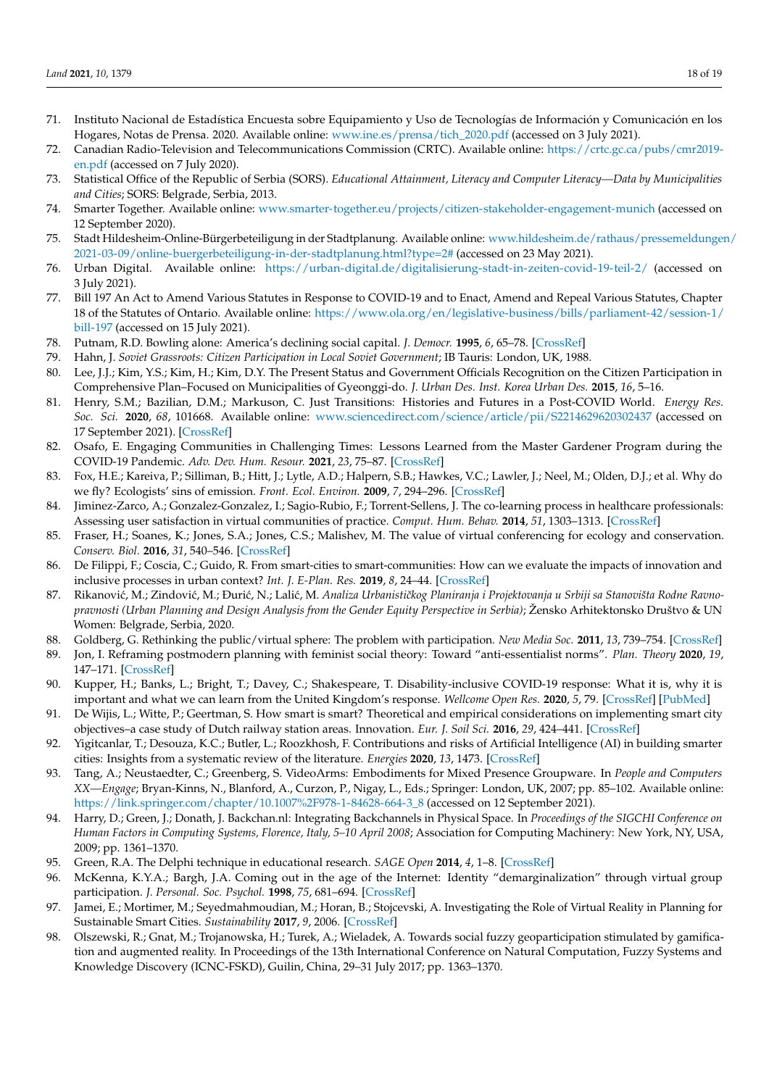- <span id="page-17-0"></span>71. Instituto Nacional de Estadística Encuesta sobre Equipamiento y Uso de Tecnologías de Información y Comunicación en los Hogares, Notas de Prensa. 2020. Available online: [www.ine.es/prensa/tich\\_2020.pdf](www.ine.es/prensa/tich_2020.pdf) (accessed on 3 July 2021).
- <span id="page-17-1"></span>72. Canadian Radio-Television and Telecommunications Commission (CRTC). Available online: [https://crtc.gc.ca/pubs/cmr2019](https://crtc.gc.ca/pubs/cmr2019-en.pdf) [en.pdf](https://crtc.gc.ca/pubs/cmr2019-en.pdf) (accessed on 7 July 2020).
- <span id="page-17-2"></span>73. Statistical Office of the Republic of Serbia (SORS). *Educational Attainment, Literacy and Computer Literacy—Data by Municipalities and Cities*; SORS: Belgrade, Serbia, 2013.
- <span id="page-17-3"></span>74. Smarter Together. Available online: <www.smarter-together.eu/projects/citizen-stakeholder-engagement-munich> (accessed on 12 September 2020).
- <span id="page-17-4"></span>75. Stadt Hildesheim-Online-Bürgerbeteiligung in der Stadtplanung. Available online: [www.hildesheim.de/rathaus/pressemeldunge](www.hildesheim.de/rathaus/pressemeldungen/2021-03-09/online-buergerbeteiligung-in-der-stadtplanung.html?type=2#)n/ [2021-03-09/online-buergerbeteiligung-in-der-stadtplanung.html?type=2#](www.hildesheim.de/rathaus/pressemeldungen/2021-03-09/online-buergerbeteiligung-in-der-stadtplanung.html?type=2#) (accessed on 23 May 2021).
- <span id="page-17-5"></span>76. Urban Digital. Available online: <https://urban-digital.de/digitalisierung-stadt-in-zeiten-covid-19-teil-2/> (accessed on 3 July 2021).
- <span id="page-17-6"></span>77. Bill 197 An Act to Amend Various Statutes in Response to COVID-19 and to Enact, Amend and Repeal Various Statutes, Chapter 18 of the Statutes of Ontario. Available online: [https://www.ola.org/en/legislative-business/bills/parliament-42/session-1/](https://www.ola.org/en/legislative-business/bills/parliament-42/session-1/bill-197) [bill-197](https://www.ola.org/en/legislative-business/bills/parliament-42/session-1/bill-197) (accessed on 15 July 2021).
- <span id="page-17-7"></span>78. Putnam, R.D. Bowling alone: America's declining social capital. *J. Democr.* **1995**, *6*, 65–78. [\[CrossRef\]](http://doi.org/10.1353/jod.1995.0002)
- <span id="page-17-8"></span>79. Hahn, J. *Soviet Grassroots: Citizen Participation in Local Soviet Government*; IB Tauris: London, UK, 1988.
- <span id="page-17-9"></span>80. Lee, J.J.; Kim, Y.S.; Kim, H.; Kim, D.Y. The Present Status and Government Officials Recognition on the Citizen Participation in Comprehensive Plan–Focused on Municipalities of Gyeonggi-do. *J. Urban Des. Inst. Korea Urban Des.* **2015**, *16*, 5–16.
- <span id="page-17-10"></span>81. Henry, S.M.; Bazilian, D.M.; Markuson, C. Just Transitions: Histories and Futures in a Post-COVID World. *Energy Res. Soc. Sci.* **2020**, *68*, 101668. Available online: <www.sciencedirect.com/science/article/pii/S2214629620302437> (accessed on 17 September 2021). [\[CrossRef\]](http://doi.org/10.1016/j.erss.2020.101668)
- <span id="page-17-11"></span>82. Osafo, E. Engaging Communities in Challenging Times: Lessons Learned from the Master Gardener Program during the COVID-19 Pandemic. *Adv. Dev. Hum. Resour.* **2021**, *23*, 75–87. [\[CrossRef\]](http://doi.org/10.1177/1523422320972142)
- <span id="page-17-12"></span>83. Fox, H.E.; Kareiva, P.; Silliman, B.; Hitt, J.; Lytle, A.D.; Halpern, S.B.; Hawkes, V.C.; Lawler, J.; Neel, M.; Olden, D.J.; et al. Why do we fly? Ecologists' sins of emission. *Front. Ecol. Environ.* **2009**, *7*, 294–296. [\[CrossRef\]](http://doi.org/10.1890/09.WB.019)
- <span id="page-17-13"></span>84. Jiminez-Zarco, A.; Gonzalez-Gonzalez, I.; Sagio-Rubio, F.; Torrent-Sellens, J. The co-learning process in healthcare professionals: Assessing user satisfaction in virtual communities of practice. *Comput. Hum. Behav.* **2014**, *51*, 1303–1313. [\[CrossRef\]](http://doi.org/10.1016/j.chb.2014.11.057)
- <span id="page-17-14"></span>85. Fraser, H.; Soanes, K.; Jones, S.A.; Jones, C.S.; Malishev, M. The value of virtual conferencing for ecology and conservation. *Conserv. Biol.* **2016**, *31*, 540–546. [\[CrossRef\]](http://doi.org/10.1111/cobi.12837)
- <span id="page-17-15"></span>86. De Filippi, F.; Coscia, C.; Guido, R. From smart-cities to smart-communities: How can we evaluate the impacts of innovation and inclusive processes in urban context? *Int. J. E-Plan. Res.* **2019**, *8*, 24–44. [\[CrossRef\]](http://doi.org/10.4018/IJEPR.2019040102)
- <span id="page-17-16"></span>87. Rikanović, M.; Zindović, M.; Đurić, N.; Lalić, M. *Analiza Urbanističkog Planiranja i Projektovanja u Srbiji sa Stanovišta Rodne Ravnopravnosti (Urban Planning and Design Analysis from the Gender Equity Perspective in Serbia)*; Žensko Arhitektonsko Društvo & UN Women: Belgrade, Serbia, 2020.
- 88. Goldberg, G. Rethinking the public/virtual sphere: The problem with participation. *New Media Soc.* **2011**, *13*, 739–754. [\[CrossRef\]](http://doi.org/10.1177/1461444810379862)
- <span id="page-17-17"></span>89. Jon, I. Reframing postmodern planning with feminist social theory: Toward "anti-essentialist norms". *Plan. Theory* **2020**, *19*, 147–171. [\[CrossRef\]](http://doi.org/10.1177/1473095219851214)
- <span id="page-17-18"></span>90. Kupper, H.; Banks, L.; Bright, T.; Davey, C.; Shakespeare, T. Disability-inclusive COVID-19 response: What it is, why it is important and what we can learn from the United Kingdom's response. *Wellcome Open Res.* **2020**, *5*, 79. [\[CrossRef\]](http://doi.org/10.12688/wellcomeopenres.15833.1) [\[PubMed\]](http://www.ncbi.nlm.nih.gov/pubmed/32500099)
- <span id="page-17-19"></span>91. De Wijis, L.; Witte, P.; Geertman, S. How smart is smart? Theoretical and empirical considerations on implementing smart city objectives–a case study of Dutch railway station areas. Innovation. *Eur. J. Soil Sci.* **2016**, *29*, 424–441. [\[CrossRef\]](http://doi.org/10.1080/13511610.2016.1201758)
- <span id="page-17-20"></span>92. Yigitcanlar, T.; Desouza, K.C.; Butler, L.; Roozkhosh, F. Contributions and risks of Artificial Intelligence (AI) in building smarter cities: Insights from a systematic review of the literature. *Energies* **2020**, *13*, 1473. [\[CrossRef\]](http://doi.org/10.3390/en13061473)
- <span id="page-17-21"></span>93. Tang, A.; Neustaedter, C.; Greenberg, S. VideoArms: Embodiments for Mixed Presence Groupware. In *People and Computers XX—Engage*; Bryan-Kinns, N., Blanford, A., Curzon, P., Nigay, L., Eds.; Springer: London, UK, 2007; pp. 85–102. Available online: [https://link.springer.com/chapter/10.1007%2F978-1-84628-664-3\\_8](https://link.springer.com/chapter/10.1007%2F978-1-84628-664-3_8) (accessed on 12 September 2021).
- <span id="page-17-22"></span>94. Harry, D.; Green, J.; Donath, J. Backchan.nl: Integrating Backchannels in Physical Space. In *Proceedings of the SIGCHI Conference on Human Factors in Computing Systems, Florence, Italy, 5–10 April 2008*; Association for Computing Machinery: New York, NY, USA, 2009; pp. 1361–1370.
- <span id="page-17-23"></span>95. Green, R.A. The Delphi technique in educational research. *SAGE Open* **2014**, *4*, 1–8. [\[CrossRef\]](http://doi.org/10.1177/2158244014529773)
- <span id="page-17-24"></span>96. McKenna, K.Y.A.; Bargh, J.A. Coming out in the age of the Internet: Identity "demarginalization" through virtual group participation. *J. Personal. Soc. Psychol.* **1998**, *75*, 681–694. [\[CrossRef\]](http://doi.org/10.1037/0022-3514.75.3.681)
- <span id="page-17-25"></span>97. Jamei, E.; Mortimer, M.; Seyedmahmoudian, M.; Horan, B.; Stojcevski, A. Investigating the Role of Virtual Reality in Planning for Sustainable Smart Cities. *Sustainability* **2017**, *9*, 2006. [\[CrossRef\]](http://doi.org/10.3390/su9112006)
- <span id="page-17-26"></span>98. Olszewski, R.; Gnat, M.; Trojanowska, H.; Turek, A.; Wieladek, A. Towards social fuzzy geoparticipation stimulated by gamification and augmented reality. In Proceedings of the 13th International Conference on Natural Computation, Fuzzy Systems and Knowledge Discovery (ICNC-FSKD), Guilin, China, 29–31 July 2017; pp. 1363–1370.